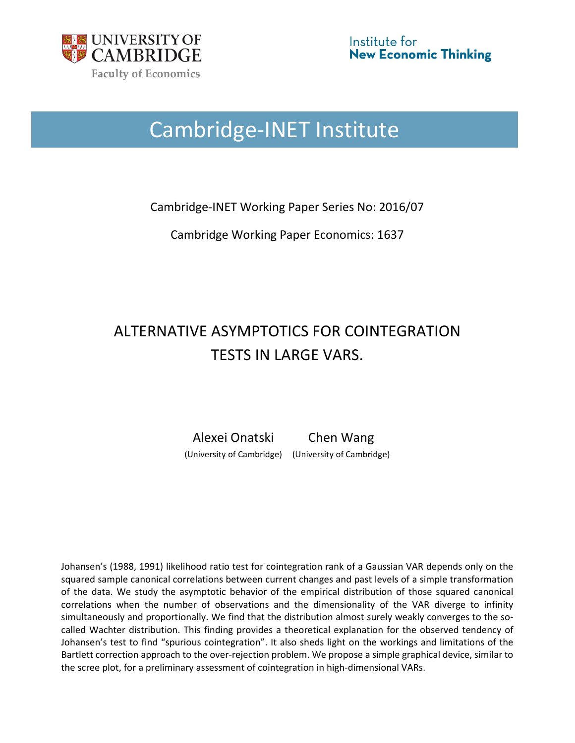

# Cambridge-INET Institute

Cambridge-INET Working Paper Series No: 2016/07

Cambridge Working Paper Economics: 1637

# ALTERNATIVE ASYMPTOTICS FOR COINTEGRATION TESTS IN LARGE VARS.

Alexei Onatski Chen Wang (University of Cambridge) (University of Cambridge)

Johansen's (1988, 1991) likelihood ratio test for cointegration rank of a Gaussian VAR depends only on the squared sample canonical correlations between current changes and past levels of a simple transformation of the data. We study the asymptotic behavior of the empirical distribution of those squared canonical correlations when the number of observations and the dimensionality of the VAR diverge to infinity simultaneously and proportionally. We find that the distribution almost surely weakly converges to the socalled Wachter distribution. This finding provides a theoretical explanation for the observed tendency of Johansen's test to find "spurious cointegration". It also sheds light on the workings and limitations of the Bartlett correction approach to the over-rejection problem. We propose a simple graphical device, similar to the scree plot, for a preliminary assessment of cointegration in high-dimensional VARs.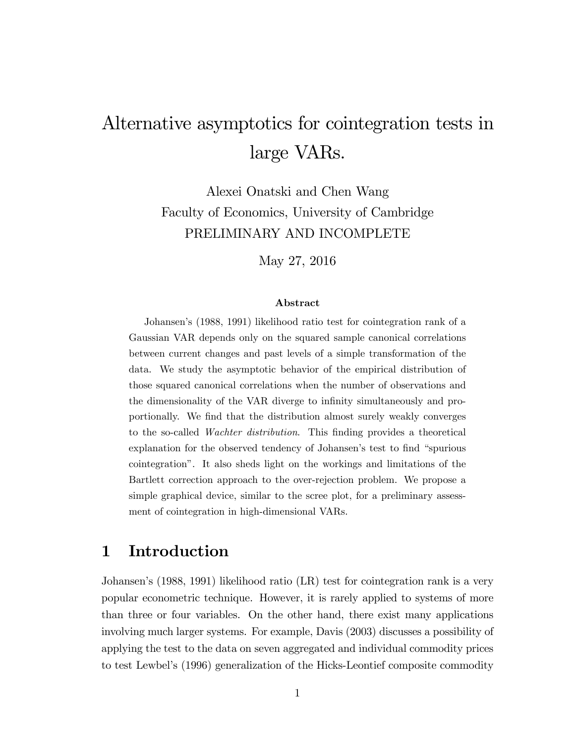# Alternative asymptotics for cointegration tests in large VARs.

Alexei Onatski and Chen Wang Faculty of Economics, University of Cambridge PRELIMINARY AND INCOMPLETE

May 27, 2016

#### Abstract

Johansenís (1988, 1991) likelihood ratio test for cointegration rank of a Gaussian VAR depends only on the squared sample canonical correlations between current changes and past levels of a simple transformation of the data. We study the asymptotic behavior of the empirical distribution of those squared canonical correlations when the number of observations and the dimensionality of the VAR diverge to infinity simultaneously and proportionally. We find that the distribution almost surely weakly converges to the so-called *Wachter distribution*. This finding provides a theoretical explanation for the observed tendency of Johansen's test to find "spurious cointegrationî. It also sheds light on the workings and limitations of the Bartlett correction approach to the over-rejection problem. We propose a simple graphical device, similar to the scree plot, for a preliminary assessment of cointegration in high-dimensional VARs.

## 1 Introduction

Johansenís (1988, 1991) likelihood ratio (LR) test for cointegration rank is a very popular econometric technique. However, it is rarely applied to systems of more than three or four variables. On the other hand, there exist many applications involving much larger systems. For example, Davis (2003) discusses a possibility of applying the test to the data on seven aggregated and individual commodity prices to test Lewbelís (1996) generalization of the Hicks-Leontief composite commodity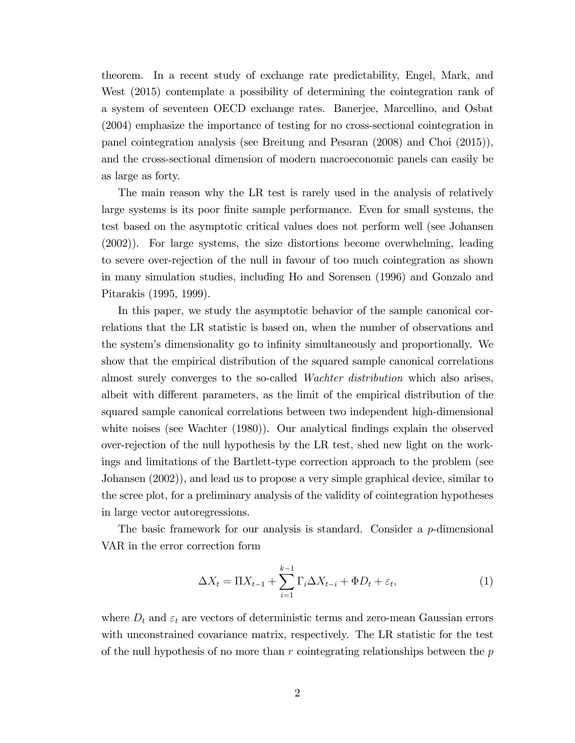theorem. In a recent study of exchange rate predictability, Engel, Mark, and West (2015) contemplate a possibility of determining the cointegration rank of a system of seventeen OECD exchange rates. Banerjee, Marcellino, and Osbat (2004) emphasize the importance of testing for no cross-sectional cointegration in panel cointegration analysis (see Breitung and Pesaran (2008) and Choi (2015)), and the cross-sectional dimension of modern macroeconomic panels can easily be as large as forty.

The main reason why the LR test is rarely used in the analysis of relatively large systems is its poor finite sample performance. Even for small systems, the test based on the asymptotic critical values does not perform well (see Johansen (2002)). For large systems, the size distortions become overwhelming, leading to severe over-rejection of the null in favour of too much cointegration as shown in many simulation studies, including Ho and Sorensen (1996) and Gonzalo and Pitarakis (1995, 1999).

In this paper, we study the asymptotic behavior of the sample canonical correlations that the LR statistic is based on, when the number of observations and the system's dimensionality go to infinity simultaneously and proportionally. We show that the empirical distribution of the squared sample canonical correlations almost surely converges to the so-called Wachter distribution which also arises, albeit with different parameters, as the limit of the empirical distribution of the squared sample canonical correlations between two independent high-dimensional white noises (see Wachter (1980)). Our analytical findings explain the observed over-rejection of the null hypothesis by the LR test, shed new light on the workings and limitations of the Bartlett-type correction approach to the problem (see Johansen (2002)), and lead us to propose a very simple graphical device, similar to the scree plot, for a preliminary analysis of the validity of cointegration hypotheses in large vector autoregressions.

The basic framework for our analysis is standard. Consider a p-dimensional VAR in the error correction form

$$
\Delta X_t = \Pi X_{t-1} + \sum_{i=1}^{k-1} \Gamma_i \Delta X_{t-i} + \Phi D_t + \varepsilon_t, \tag{1}
$$

where  $D_t$  and  $\varepsilon_t$  are vectors of deterministic terms and zero-mean Gaussian errors with unconstrained covariance matrix, respectively. The LR statistic for the test of the null hypothesis of no more than  $r$  cointegrating relationships between the  $p$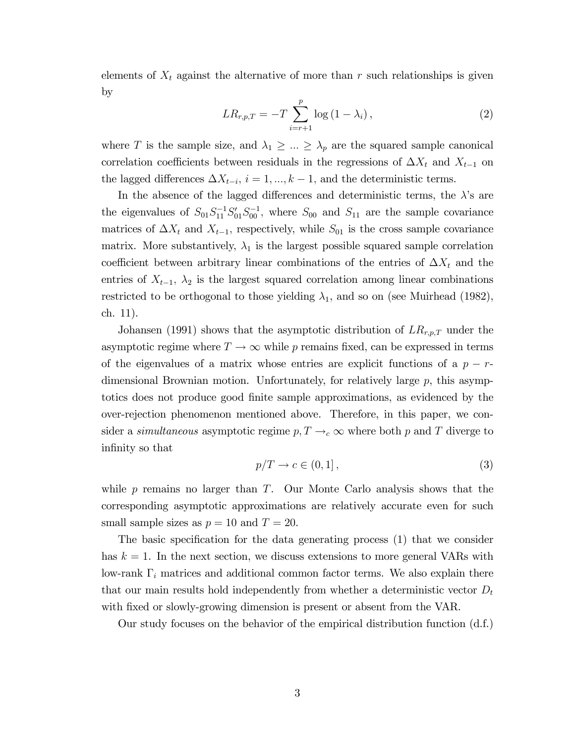elements of  $X_t$  against the alternative of more than r such relationships is given by

$$
LR_{r,p,T} = -T \sum_{i=r+1}^{p} \log\left(1 - \lambda_i\right),\tag{2}
$$

where T is the sample size, and  $\lambda_1 \geq ... \geq \lambda_p$  are the squared sample canonical correlation coefficients between residuals in the regressions of  $\Delta X_t$  and  $X_{t-1}$  on the lagged differences  $\Delta X_{t-i}$ ,  $i = 1, ..., k-1$ , and the deterministic terms.

In the absence of the lagged differences and deterministic terms, the  $\lambda$ 's are the eigenvalues of  $S_{01}S_{11}^{-1}S_{01}'S_{00}^{-1}$ , where  $S_{00}$  and  $S_{11}$  are the sample covariance matrices of  $\Delta X_t$  and  $X_{t-1}$ , respectively, while  $S_{01}$  is the cross sample covariance matrix. More substantively,  $\lambda_1$  is the largest possible squared sample correlation coefficient between arbitrary linear combinations of the entries of  $\Delta X_t$  and the entries of  $X_{t-1}$ ,  $\lambda_2$  is the largest squared correlation among linear combinations restricted to be orthogonal to those yielding  $\lambda_1$ , and so on (see Muirhead (1982), ch. 11).

Johansen (1991) shows that the asymptotic distribution of  $LR_{r,p,T}$  under the asymptotic regime where  $T \to \infty$  while p remains fixed, can be expressed in terms of the eigenvalues of a matrix whose entries are explicit functions of a  $p - r$ dimensional Brownian motion. Unfortunately, for relatively large  $p$ , this asymptotics does not produce good Önite sample approximations, as evidenced by the over-rejection phenomenon mentioned above. Therefore, in this paper, we consider a *simultaneous* asymptotic regime  $p, T \rightarrow_c \infty$  where both p and T diverge to infinity so that

$$
p/T \to c \in (0,1], \tag{3}
$$

while  $p$  remains no larger than  $T$ . Our Monte Carlo analysis shows that the corresponding asymptotic approximations are relatively accurate even for such small sample sizes as  $p = 10$  and  $T = 20$ .

The basic specification for the data generating process (1) that we consider has  $k = 1$ . In the next section, we discuss extensions to more general VARs with low-rank  $\Gamma_i$  matrices and additional common factor terms. We also explain there that our main results hold independently from whether a deterministic vector  $D_t$ with fixed or slowly-growing dimension is present or absent from the VAR.

Our study focuses on the behavior of the empirical distribution function (d.f.)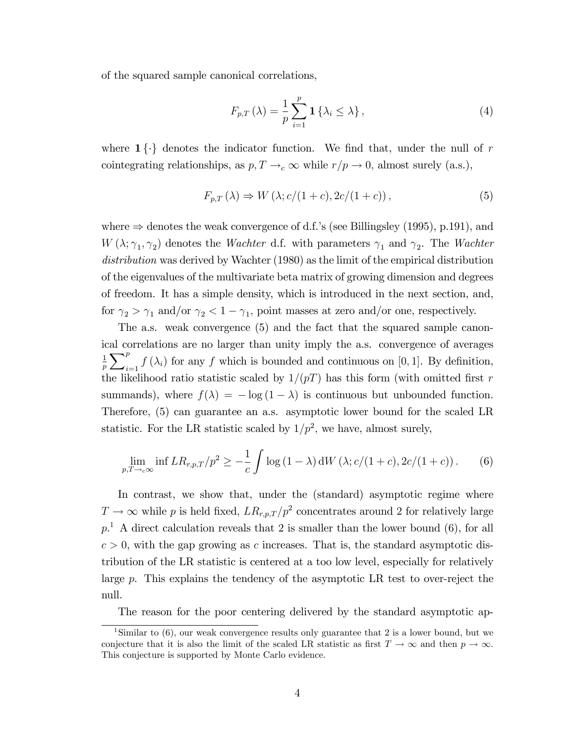of the squared sample canonical correlations,

$$
F_{p,T}(\lambda) = \frac{1}{p} \sum_{i=1}^{p} \mathbf{1} \left\{ \lambda_i \le \lambda \right\},\tag{4}
$$

where  $1\{\cdot\}$  denotes the indicator function. We find that, under the null of r cointegrating relationships, as  $p, T \rightarrow_c \infty$  while  $r/p \rightarrow 0$ , almost surely (a.s.),

$$
F_{p,T}(\lambda) \Rightarrow W(\lambda; c/(1+c), 2c/(1+c)), \qquad (5)
$$

where  $\Rightarrow$  denotes the weak convergence of d.f.'s (see Billingsley (1995), p.191), and  $W(\lambda; \gamma_1, \gamma_2)$  denotes the *Wachter* d.f. with parameters  $\gamma_1$  and  $\gamma_2$ . The *Wachter* distribution was derived by Wachter (1980) as the limit of the empirical distribution of the eigenvalues of the multivariate beta matrix of growing dimension and degrees of freedom. It has a simple density, which is introduced in the next section, and, for  $\gamma_2 > \gamma_1$  and/or  $\gamma_2 < 1 - \gamma_1$ , point masses at zero and/or one, respectively.

The a.s. weak convergence (5) and the fact that the squared sample canonical correlations are no larger than unity imply the a.s. convergence of averages 1  $\frac{1}{p} \sum_{i=1}^{p}$  $\sum_{i=1}^{n} f(\lambda_i)$  for any f which is bounded and continuous on [0, 1]. By definition, the likelihood ratio statistic scaled by  $1/(pT)$  has this form (with omitted first r summands), where  $f(\lambda) = -\log(1 - \lambda)$  is continuous but unbounded function. Therefore, (5) can guarantee an a.s. asymptotic lower bound for the scaled LR statistic. For the LR statistic scaled by  $1/p^2$ , we have, almost surely,

$$
\lim_{p,T \to c\infty} \inf LR_{r,p,T}/p^2 \ge -\frac{1}{c} \int \log\left(1-\lambda\right) dW\left(\lambda; c/(1+c), 2c/(1+c)\right). \tag{6}
$$

In contrast, we show that, under the (standard) asymptotic regime where  $T \to \infty$  while p is held fixed,  $LR_{r,p,T}/p^2$  concentrates around 2 for relatively large  $p<sup>1</sup>$  A direct calculation reveals that 2 is smaller than the lower bound (6), for all  $c > 0$ , with the gap growing as c increases. That is, the standard asymptotic distribution of the LR statistic is centered at a too low level, especially for relatively large p. This explains the tendency of the asymptotic LR test to over-reject the null.

The reason for the poor centering delivered by the standard asymptotic ap-

<sup>1</sup>Similar to (6), our weak convergence results only guarantee that 2 is a lower bound, but we conjecture that it is also the limit of the scaled LR statistic as first  $T \to \infty$  and then  $p \to \infty$ . This conjecture is supported by Monte Carlo evidence.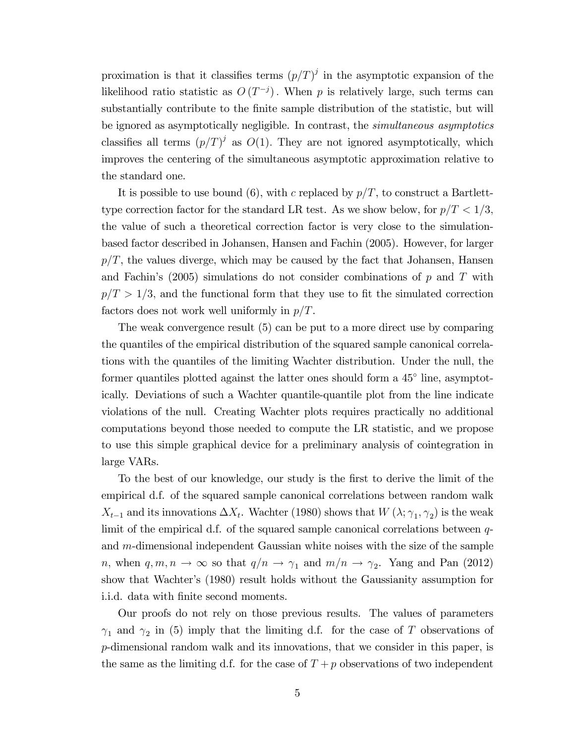proximation is that it classifies terms  $(p/T)^{j}$  in the asymptotic expansion of the likelihood ratio statistic as  $O(T^{-j})$ . When p is relatively large, such terms can substantially contribute to the Önite sample distribution of the statistic, but will be ignored as asymptotically negligible. In contrast, the *simultaneous asymptotics* classifies all terms  $(p/T)^j$  as  $O(1)$ . They are not ignored asymptotically, which improves the centering of the simultaneous asymptotic approximation relative to the standard one.

It is possible to use bound (6), with c replaced by  $p/T$ , to construct a Bartletttype correction factor for the standard LR test. As we show below, for  $p/T < 1/3$ , the value of such a theoretical correction factor is very close to the simulationbased factor described in Johansen, Hansen and Fachin (2005). However, for larger  $p/T$ , the values diverge, which may be caused by the fact that Johansen, Hansen and Fachin's (2005) simulations do not consider combinations of  $p$  and  $T$  with  $p/T > 1/3$ , and the functional form that they use to fit the simulated correction factors does not work well uniformly in  $p/T$ .

The weak convergence result (5) can be put to a more direct use by comparing the quantiles of the empirical distribution of the squared sample canonical correlations with the quantiles of the limiting Wachter distribution. Under the null, the former quantiles plotted against the latter ones should form a  $45^{\circ}$  line, asymptotically. Deviations of such a Wachter quantile-quantile plot from the line indicate violations of the null. Creating Wachter plots requires practically no additional computations beyond those needed to compute the LR statistic, and we propose to use this simple graphical device for a preliminary analysis of cointegration in large VARs.

To the best of our knowledge, our study is the first to derive the limit of the empirical d.f. of the squared sample canonical correlations between random walk  $X_{t-1}$  and its innovations  $\Delta X_t$ . Wachter (1980) shows that  $W(\lambda; \gamma_1, \gamma_2)$  is the weak limit of the empirical d.f. of the squared sample canonical correlations between  $q$ and m-dimensional independent Gaussian white noises with the size of the sample *n*, when  $q, m, n \to \infty$  so that  $q/n \to \gamma_1$  and  $m/n \to \gamma_2$ . Yang and Pan (2012) show that Wachter's (1980) result holds without the Gaussianity assumption for i.i.d. data with finite second moments.

Our proofs do not rely on those previous results. The values of parameters  $\gamma_1$  and  $\gamma_2$  in (5) imply that the limiting d.f. for the case of T observations of p-dimensional random walk and its innovations, that we consider in this paper, is the same as the limiting d.f. for the case of  $T + p$  observations of two independent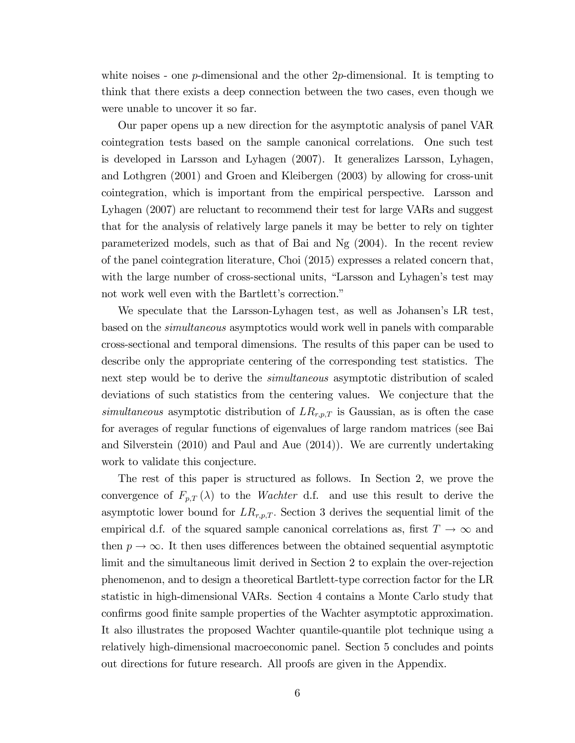white noises - one p-dimensional and the other  $2p$ -dimensional. It is tempting to think that there exists a deep connection between the two cases, even though we were unable to uncover it so far.

Our paper opens up a new direction for the asymptotic analysis of panel VAR cointegration tests based on the sample canonical correlations. One such test is developed in Larsson and Lyhagen (2007). It generalizes Larsson, Lyhagen, and Lothgren (2001) and Groen and Kleibergen (2003) by allowing for cross-unit cointegration, which is important from the empirical perspective. Larsson and Lyhagen (2007) are reluctant to recommend their test for large VARs and suggest that for the analysis of relatively large panels it may be better to rely on tighter parameterized models, such as that of Bai and Ng (2004). In the recent review of the panel cointegration literature, Choi (2015) expresses a related concern that, with the large number of cross-sectional units, "Larsson and Lyhagen's test may not work well even with the Bartlett's correction."

We speculate that the Larsson-Lyhagen test, as well as Johansen's LR test, based on the simultaneous asymptotics would work well in panels with comparable cross-sectional and temporal dimensions. The results of this paper can be used to describe only the appropriate centering of the corresponding test statistics. The next step would be to derive the *simultaneous* asymptotic distribution of scaled deviations of such statistics from the centering values. We conjecture that the simultaneous asymptotic distribution of  $LR_{r,p,T}$  is Gaussian, as is often the case for averages of regular functions of eigenvalues of large random matrices (see Bai and Silverstein (2010) and Paul and Aue (2014)). We are currently undertaking work to validate this conjecture.

The rest of this paper is structured as follows. In Section 2, we prove the convergence of  $F_{p,T}(\lambda)$  to the *Wachter* d.f. and use this result to derive the asymptotic lower bound for  $LR_{r,p,T}$ . Section 3 derives the sequential limit of the empirical d.f. of the squared sample canonical correlations as, first  $T \to \infty$  and then  $p \to \infty$ . It then uses differences between the obtained sequential asymptotic limit and the simultaneous limit derived in Section 2 to explain the over-rejection phenomenon, and to design a theoretical Bartlett-type correction factor for the LR statistic in high-dimensional VARs. Section 4 contains a Monte Carlo study that confirms good finite sample properties of the Wachter asymptotic approximation. It also illustrates the proposed Wachter quantile-quantile plot technique using a relatively high-dimensional macroeconomic panel. Section 5 concludes and points out directions for future research. All proofs are given in the Appendix.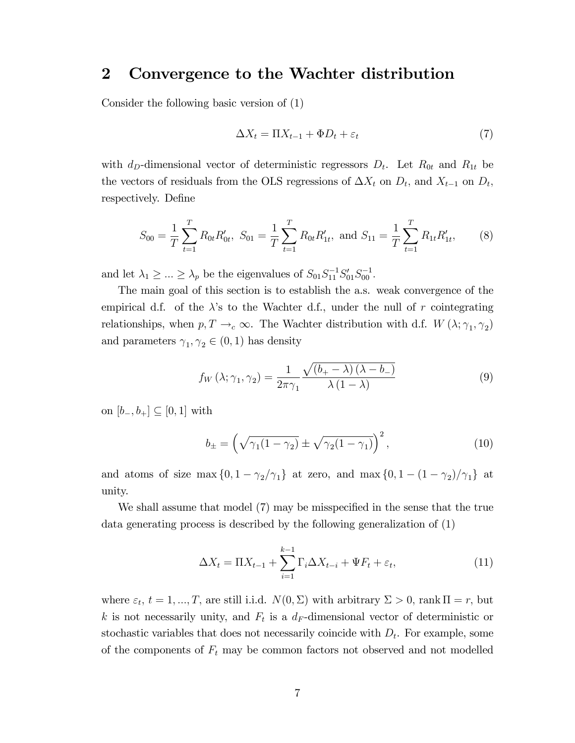## 2 Convergence to the Wachter distribution

Consider the following basic version of (1)

$$
\Delta X_t = \Pi X_{t-1} + \Phi D_t + \varepsilon_t \tag{7}
$$

with  $d_D$ -dimensional vector of deterministic regressors  $D_t$ . Let  $R_{0t}$  and  $R_{1t}$  be the vectors of residuals from the OLS regressions of  $\Delta X_t$  on  $D_t$ , and  $X_{t-1}$  on  $D_t$ , respectively. Define

$$
S_{00} = \frac{1}{T} \sum_{t=1}^{T} R_{0t} R'_{0t}, \ S_{01} = \frac{1}{T} \sum_{t=1}^{T} R_{0t} R'_{1t}, \text{ and } S_{11} = \frac{1}{T} \sum_{t=1}^{T} R_{1t} R'_{1t}, \tag{8}
$$

and let  $\lambda_1 \geq ... \geq \lambda_p$  be the eigenvalues of  $S_{01}S_{11}^{-1}S_{01}'S_{00}^{-1}$ .

The main goal of this section is to establish the a.s. weak convergence of the empirical d.f. of the  $\lambda$ 's to the Wachter d.f., under the null of r cointegrating relationships, when  $p, T \rightarrow_c \infty$ . The Wachter distribution with d.f.  $W(\lambda; \gamma_1, \gamma_2)$ and parameters  $\gamma_1, \gamma_2 \in (0, 1)$  has density

$$
f_W(\lambda; \gamma_1, \gamma_2) = \frac{1}{2\pi\gamma_1} \frac{\sqrt{(b_+ - \lambda)(\lambda - b_-)}}{\lambda(1 - \lambda)}
$$
(9)

on  $[b_-, b_+] \subseteq [0, 1]$  with

$$
b_{\pm} = \left(\sqrt{\gamma_1(1-\gamma_2)} \pm \sqrt{\gamma_2(1-\gamma_1)}\right)^2,\tag{10}
$$

and atoms of size max  $\{0, 1 - \gamma_2/\gamma_1\}$  at zero, and max  $\{0, 1 - (1 - \gamma_2)/\gamma_1\}$  at unity.

We shall assume that model  $(7)$  may be misspecified in the sense that the true data generating process is described by the following generalization of (1)

$$
\Delta X_t = \Pi X_{t-1} + \sum_{i=1}^{k-1} \Gamma_i \Delta X_{t-i} + \Psi F_t + \varepsilon_t, \tag{11}
$$

where  $\varepsilon_t$ ,  $t = 1, ..., T$ , are still i.i.d.  $N(0, \Sigma)$  with arbitrary  $\Sigma > 0$ , rank  $\Pi = r$ , but k is not necessarily unity, and  $F_t$  is a  $d_F$ -dimensional vector of deterministic or stochastic variables that does not necessarily coincide with  $D_t$ . For example, some of the components of  $F_t$  may be common factors not observed and not modelled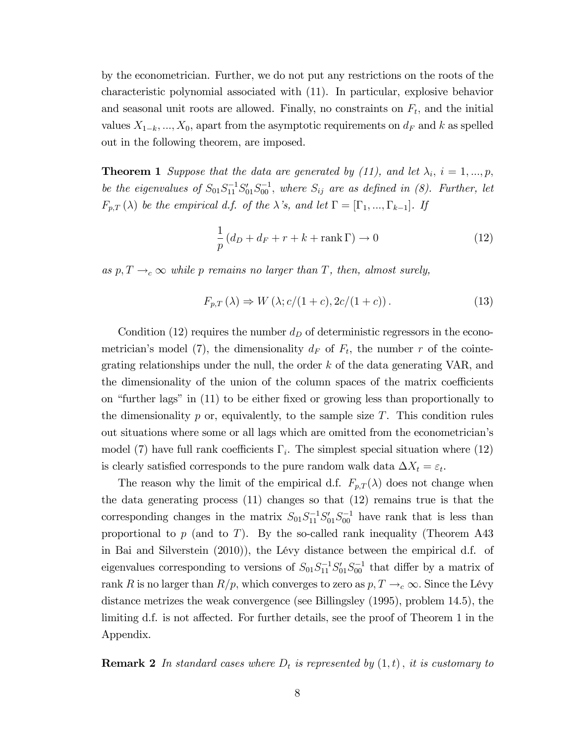by the econometrician. Further, we do not put any restrictions on the roots of the characteristic polynomial associated with (11). In particular, explosive behavior and seasonal unit roots are allowed. Finally, no constraints on  $F_t$ , and the initial values  $X_{1-k}, \ldots, X_0$ , apart from the asymptotic requirements on  $d_F$  and k as spelled out in the following theorem, are imposed.

**Theorem 1** Suppose that the data are generated by (11), and let  $\lambda_i$ ,  $i = 1, ..., p$ , be the eigenvalues of  $S_{01}S_{11}^{-1}S_{01}'S_{00}^{-1}$ , where  $S_{ij}$  are as defined in (8). Further, let  $F_{p,T}(\lambda)$  be the empirical d.f. of the  $\lambda$ 's, and let  $\Gamma = [\Gamma_1, ..., \Gamma_{k-1}]$ . If

$$
\frac{1}{p} (d_D + d_F + r + k + \text{rank } \Gamma) \to 0 \tag{12}
$$

as  $p, T \rightarrow_c \infty$  while p remains no larger than T, then, almost surely,

$$
F_{p,T}(\lambda) \Rightarrow W(\lambda; c/(1+c), 2c/(1+c)). \tag{13}
$$

Condition (12) requires the number  $d<sub>D</sub>$  of deterministic regressors in the econometrician's model (7), the dimensionality  $d_F$  of  $F_t$ , the number r of the cointegrating relationships under the null, the order k of the data generating VAR, and the dimensionality of the union of the column spaces of the matrix coefficients on "further lags" in  $(11)$  to be either fixed or growing less than proportionally to the dimensionality  $p$  or, equivalently, to the sample size  $T$ . This condition rules out situations where some or all lags which are omitted from the econometricianís model (7) have full rank coefficients  $\Gamma_i$ . The simplest special situation where (12) is clearly satisfied corresponds to the pure random walk data  $\Delta X_t = \varepsilon_t$ .

The reason why the limit of the empirical d.f.  $F_{p,T}(\lambda)$  does not change when the data generating process (11) changes so that (12) remains true is that the corresponding changes in the matrix  $S_{01}S_{11}^{-1}S_{01}'S_{00}^{-1}$  have rank that is less than proportional to p (and to T). By the so-called rank inequality (Theorem A43 in Bai and Silverstein  $(2010)$ , the Lévy distance between the empirical d.f. of eigenvalues corresponding to versions of  $S_{01}S_{11}^{-1}S_{01}'S_{00}^{-1}$  that differ by a matrix of rank R is no larger than  $R/p$ , which converges to zero as  $p, T \rightarrow_c \infty$ . Since the Lévy distance metrizes the weak convergence (see Billingsley (1995), problem 14.5), the limiting d.f. is not affected. For further details, see the proof of Theorem 1 in the Appendix.

**Remark 2** In standard cases where  $D_t$  is represented by  $(1,t)$ , it is customary to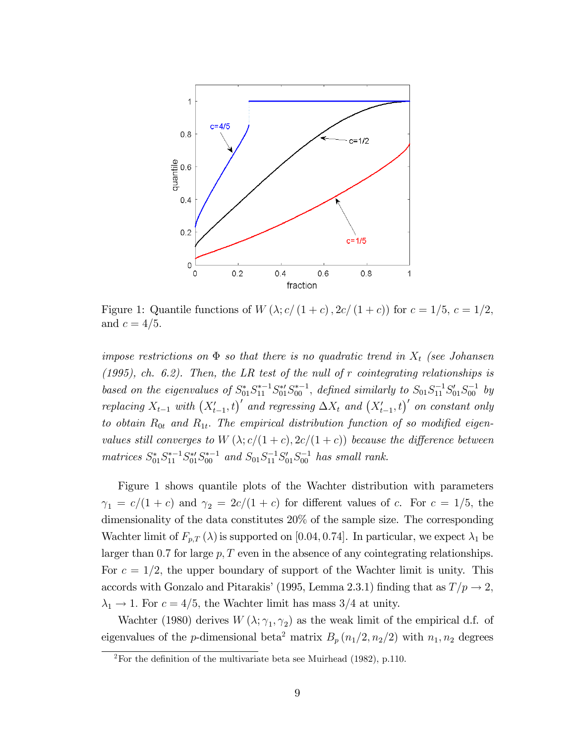

Figure 1: Quantile functions of  $W(\lambda; c/(1 + c), 2c/(1 + c))$  for  $c = 1/5, c = 1/2$ , and  $c = 4/5$ .

impose restrictions on  $\Phi$  so that there is no quadratic trend in  $X_t$  (see Johansen (1995), ch. 6.2). Then, the LR test of the null of r cointegrating relationships is based on the eigenvalues of  $S_{01}^*S_{11}^{*-1}S_{01}^{*'}S_{00}^{*-1}$ , defined similarly to  $S_{01}S_{11}^{-1}S_{01}'S_{00}^{-1}$  by replacing  $X_{t-1}$  with  $(X'_{t-1}, t)'$  and regressing  $\Delta X_t$  and  $(X'_{t-1}, t)'$  on constant only to obtain  $R_{0t}$  and  $R_{1t}$ . The empirical distribution function of so modified eigenvalues still converges to  $W(\lambda; c/(1 + c), 2c/(1 + c))$  because the difference between matrices  $S_{01}^*S_{11}^{*-1}S_{01}^{*}S_{00}^{*-1}$  and  $S_{01}S_{11}^{-1}S_{01}'S_{00}^{-1}$  has small rank.

Figure 1 shows quantile plots of the Wachter distribution with parameters  $\gamma_1 = c/(1 + c)$  and  $\gamma_2 = 2c/(1 + c)$  for different values of c. For  $c = 1/5$ , the dimensionality of the data constitutes 20% of the sample size. The corresponding Wachter limit of  $F_{p,T}(\lambda)$  is supported on [0.04, 0.74]. In particular, we expect  $\lambda_1$  be larger than 0.7 for large  $p, T$  even in the absence of any cointegrating relationships. For  $c = 1/2$ , the upper boundary of support of the Wachter limit is unity. This accords with Gonzalo and Pitarakis' (1995, Lemma 2.3.1) finding that as  $T/p \rightarrow 2$ ,  $\lambda_1 \rightarrow 1$ . For  $c = 4/5$ , the Wachter limit has mass 3/4 at unity.

Wachter (1980) derives  $W(\lambda; \gamma_1, \gamma_2)$  as the weak limit of the empirical d.f. of eigenvalues of the p-dimensional beta<sup>2</sup> matrix  $B_p(n_1/2, n_2/2)$  with  $n_1, n_2$  degrees

<sup>&</sup>lt;sup>2</sup>For the definition of the multivariate beta see Muirhead (1982), p.110.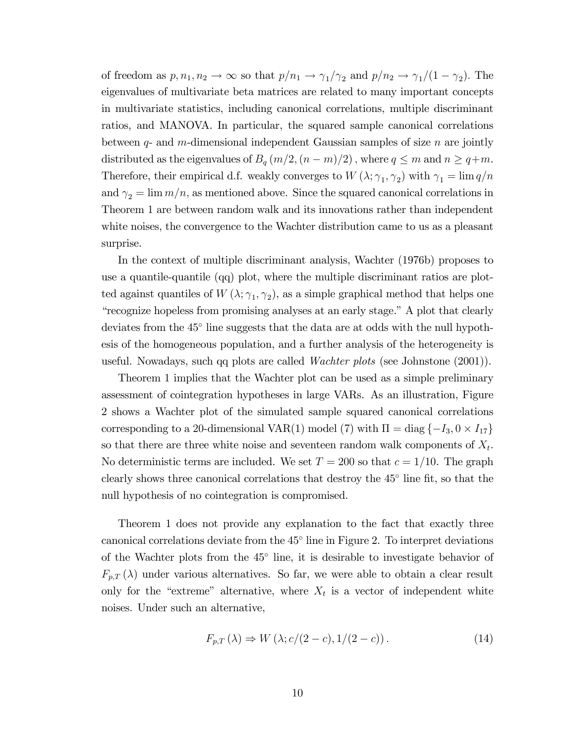of freedom as  $p, n_1, n_2 \to \infty$  so that  $p/n_1 \to \gamma_1/\gamma_2$  and  $p/n_2 \to \gamma_1/(1 - \gamma_2)$ . The eigenvalues of multivariate beta matrices are related to many important concepts in multivariate statistics, including canonical correlations, multiple discriminant ratios, and MANOVA. In particular, the squared sample canonical correlations between  $q$ - and m-dimensional independent Gaussian samples of size n are jointly distributed as the eigenvalues of  $B_q(m/2,(n-m)/2)$ , where  $q \leq m$  and  $n \geq q+m$ . Therefore, their empirical d.f. weakly converges to  $W(\lambda; \gamma_1, \gamma_2)$  with  $\gamma_1 = \lim q/n$ and  $\gamma_2 = \lim_{n \to \infty} m/n$ , as mentioned above. Since the squared canonical correlations in Theorem 1 are between random walk and its innovations rather than independent white noises, the convergence to the Wachter distribution came to us as a pleasant surprise.

In the context of multiple discriminant analysis, Wachter (1976b) proposes to use a quantile-quantile (qq) plot, where the multiple discriminant ratios are plotted against quantiles of  $W(\lambda; \gamma_1, \gamma_2)$ , as a simple graphical method that helps one ìrecognize hopeless from promising analyses at an early stage.îA plot that clearly deviates from the  $45^{\circ}$  line suggests that the data are at odds with the null hypothesis of the homogeneous population, and a further analysis of the heterogeneity is useful. Nowadays, such qq plots are called Wachter plots (see Johnstone (2001)).

Theorem 1 implies that the Wachter plot can be used as a simple preliminary assessment of cointegration hypotheses in large VARs. As an illustration, Figure 2 shows a Wachter plot of the simulated sample squared canonical correlations corresponding to a 20-dimensional VAR(1) model (7) with  $\Pi = \text{diag} \{-I_3, 0 \times I_{17}\}\$ so that there are three white noise and seventeen random walk components of  $X_t$ . No deterministic terms are included. We set  $T = 200$  so that  $c = 1/10$ . The graph clearly shows three canonical correlations that destroy the  $45^{\circ}$  line fit, so that the null hypothesis of no cointegration is compromised.

Theorem 1 does not provide any explanation to the fact that exactly three canonical correlations deviate from the 45 line in Figure 2. To interpret deviations of the Wachter plots from the 45 line, it is desirable to investigate behavior of  $F_{p,T}(\lambda)$  under various alternatives. So far, we were able to obtain a clear result only for the "extreme" alternative, where  $X_t$  is a vector of independent white noises. Under such an alternative,

$$
F_{p,T}(\lambda) \Rightarrow W(\lambda; c/(2-c), 1/(2-c)). \tag{14}
$$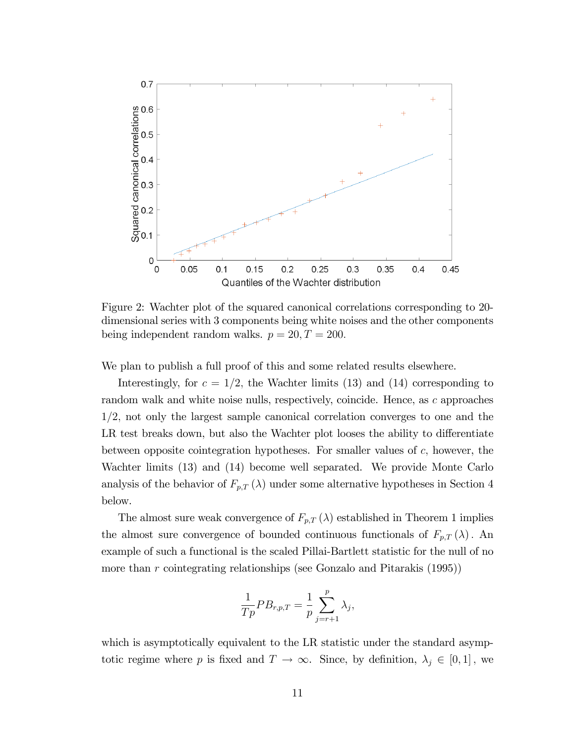

Figure 2: Wachter plot of the squared canonical correlations corresponding to 20 dimensional series with 3 components being white noises and the other components being independent random walks.  $p = 20, T = 200$ .

We plan to publish a full proof of this and some related results elsewhere.

Interestingly, for  $c = 1/2$ , the Wachter limits (13) and (14) corresponding to random walk and white noise nulls, respectively, coincide. Hence, as c approaches  $1/2$ , not only the largest sample canonical correlation converges to one and the LR test breaks down, but also the Wachter plot looses the ability to differentiate between opposite cointegration hypotheses. For smaller values of  $c$ , however, the Wachter limits (13) and (14) become well separated. We provide Monte Carlo analysis of the behavior of  $F_{p,T}(\lambda)$  under some alternative hypotheses in Section 4 below.

The almost sure weak convergence of  $F_{p,T}(\lambda)$  established in Theorem 1 implies the almost sure convergence of bounded continuous functionals of  $F_{p,T}(\lambda)$ . An example of such a functional is the scaled Pillai-Bartlett statistic for the null of no more than r cointegrating relationships (see Gonzalo and Pitarakis (1995))

$$
\frac{1}{Tp}PB_{r,p,T} = \frac{1}{p}\sum_{j=r+1}^p \lambda_j,
$$

which is asymptotically equivalent to the LR statistic under the standard asymptotic regime where p is fixed and  $T \to \infty$ . Since, by definition,  $\lambda_j \in [0, 1]$ , we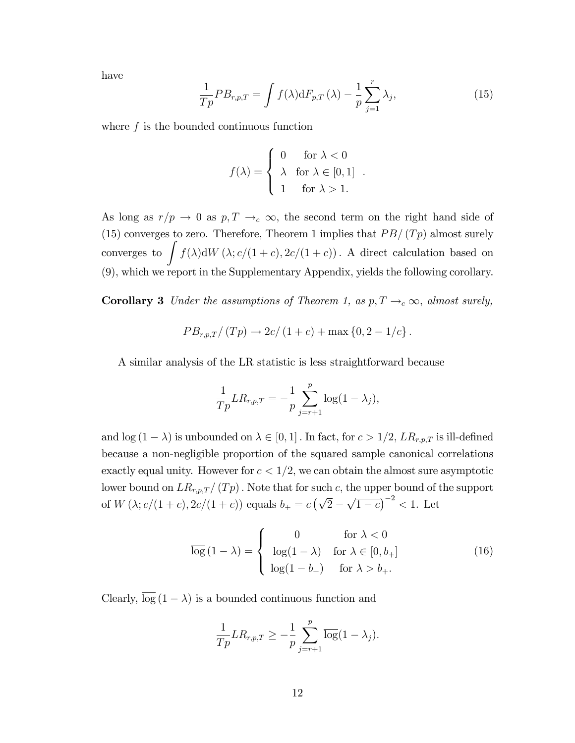have

$$
\frac{1}{Tp}PB_{r,p,T} = \int f(\lambda)dF_{p,T}(\lambda) - \frac{1}{p}\sum_{j=1}^r \lambda_j,
$$
\n(15)

where  $f$  is the bounded continuous function

$$
f(\lambda) = \begin{cases} 0 & \text{for } \lambda < 0 \\ \lambda & \text{for } \lambda \in [0, 1] \\ 1 & \text{for } \lambda > 1. \end{cases}
$$

As long as  $r/p \to 0$  as  $p, T \to_c \infty$ , the second term on the right hand side of (15) converges to zero. Therefore, Theorem 1 implies that  $PB/(Tp)$  almost surely converges to  $\int f(\lambda)dW(\lambda; c/(1 + c), 2c/(1 + c))$ . A direct calculation based on (9), which we report in the Supplementary Appendix, yields the following corollary.

**Corollary 3** Under the assumptions of Theorem 1, as  $p, T \rightarrow_c \infty$ , almost surely,

$$
PB_{r,p,T}/(Tp) \rightarrow 2c/(1+c) + \max\{0,2-1/c\}.
$$

A similar analysis of the LR statistic is less straightforward because

$$
\frac{1}{Tp}LR_{r,p,T} = -\frac{1}{p} \sum_{j=r+1}^{p} \log(1 - \lambda_j),
$$

and  $\log (1 - \lambda)$  is unbounded on  $\lambda \in [0, 1]$ . In fact, for  $c > 1/2$ ,  $LR_{r,p,T}$  is ill-defined because a non-negligible proportion of the squared sample canonical correlations exactly equal unity. However for  $c < 1/2$ , we can obtain the almost sure asymptotic lower bound on  $LR_{r,p,T}/(Tp)$ . Note that for such c, the upper bound of the support of  $W(\lambda; c/(1+c), 2c/(1+c))$  equals  $b_+ = c(\sqrt{2} - \sqrt{1-c})^{-2} < 1$ . Let

$$
\overline{\log}(1-\lambda) = \begin{cases}\n0 & \text{for } \lambda < 0 \\
\log(1-\lambda) & \text{for } \lambda \in [0, b_{+}] \\
\log(1-b_{+}) & \text{for } \lambda > b_{+}.\n\end{cases}
$$
\n(16)

Clearly,  $\overline{\log}(1 - \lambda)$  is a bounded continuous function and

$$
\frac{1}{Tp}LR_{r,p,T} \ge -\frac{1}{p}\sum_{j=r+1}^p \overline{\log(1-\lambda_j)}.
$$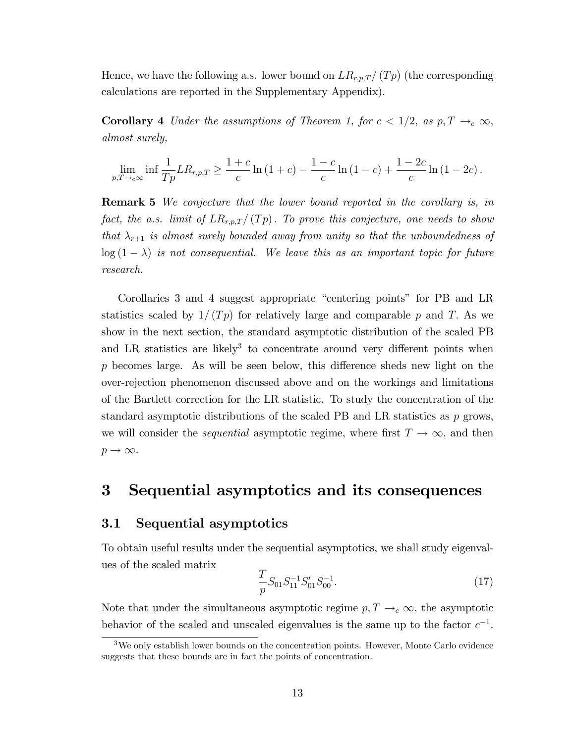Hence, we have the following a.s. lower bound on  $LR_{r,p,T}/(Tp)$  (the corresponding calculations are reported in the Supplementary Appendix).

**Corollary 4** Under the assumptions of Theorem 1, for  $c < 1/2$ , as  $p, T \rightarrow_c \infty$ , almost surely,

$$
\lim_{p,T \to c\infty} \inf \frac{1}{Tp} LR_{r,p,T} \ge \frac{1+c}{c} \ln (1+c) - \frac{1-c}{c} \ln (1-c) + \frac{1-2c}{c} \ln (1-2c).
$$

**Remark 5** We conjecture that the lower bound reported in the corollary is, in fact, the a.s. limit of  $LR_{r,p,T}/(Tp)$ . To prove this conjecture, one needs to show that  $\lambda_{r+1}$  is almost surely bounded away from unity so that the unboundedness of  $log(1 - \lambda)$  is not consequential. We leave this as an important topic for future research.

Corollaries 3 and 4 suggest appropriate "centering points" for  $PB$  and  $LR$ statistics scaled by  $1/(Tp)$  for relatively large and comparable p and T. As we show in the next section, the standard asymptotic distribution of the scaled PB and LR statistics are likely<sup>3</sup> to concentrate around very different points when  $p$  becomes large. As will be seen below, this difference sheds new light on the over-rejection phenomenon discussed above and on the workings and limitations of the Bartlett correction for the LR statistic. To study the concentration of the standard asymptotic distributions of the scaled PB and LR statistics as  $p$  grows, we will consider the *sequential* asymptotic regime, where first  $T \to \infty$ , and then  $p \rightarrow \infty$ .

## 3 Sequential asymptotics and its consequences

## 3.1 Sequential asymptotics

To obtain useful results under the sequential asymptotics, we shall study eigenvalues of the scaled matrix

$$
\frac{T}{p}S_{01}S_{11}^{-1}S_{01}'S_{00}^{-1}.\tag{17}
$$

Note that under the simultaneous asymptotic regime  $p, T \rightarrow_c \infty$ , the asymptotic behavior of the scaled and unscaled eigenvalues is the same up to the factor  $c^{-1}$ .

<sup>&</sup>lt;sup>3</sup>We only establish lower bounds on the concentration points. However, Monte Carlo evidence suggests that these bounds are in fact the points of concentration.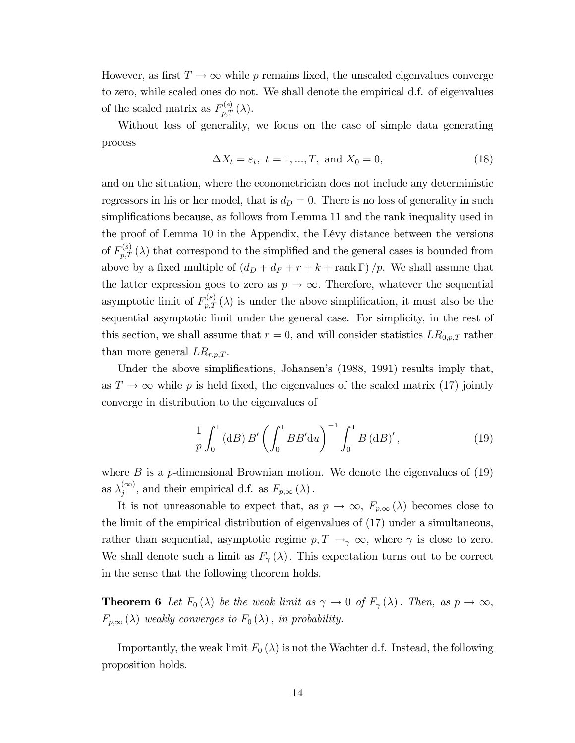However, as first  $T \to \infty$  while p remains fixed, the unscaled eigenvalues converge to zero, while scaled ones do not. We shall denote the empirical d.f. of eigenvalues of the scaled matrix as  $F_{p,T}^{(s)}(\lambda)$ .

Without loss of generality, we focus on the case of simple data generating process

$$
\Delta X_t = \varepsilon_t, \ t = 1, \dots, T, \text{ and } X_0 = 0,
$$
\n
$$
(18)
$$

and on the situation, where the econometrician does not include any deterministic regressors in his or her model, that is  $d_D = 0$ . There is no loss of generality in such simplifications because, as follows from Lemma 11 and the rank inequality used in the proof of Lemma 10 in the Appendix, the Lévy distance between the versions of  $F_{p,T}^{(s)}(\lambda)$  that correspond to the simplified and the general cases is bounded from above by a fixed multiple of  $(d_D + d_F + r + k + \text{rank }\Gamma)/p$ . We shall assume that the latter expression goes to zero as  $p \to \infty$ . Therefore, whatever the sequential asymptotic limit of  $F_{p,T}^{(s)}(\lambda)$  is under the above simplification, it must also be the sequential asymptotic limit under the general case. For simplicity, in the rest of this section, we shall assume that  $r = 0$ , and will consider statistics  $LR_{0,p,T}$  rather than more general  $LR_{r,p,T}$ .

Under the above simplifications, Johansen's (1988, 1991) results imply that, as  $T \to \infty$  while p is held fixed, the eigenvalues of the scaled matrix (17) jointly converge in distribution to the eigenvalues of

$$
\frac{1}{p} \int_0^1 (dB) B' \left( \int_0^1 BB' du \right)^{-1} \int_0^1 B (dB)', \tag{19}
$$

where  $B$  is a p-dimensional Brownian motion. We denote the eigenvalues of  $(19)$ as  $\lambda_j^{(\infty)}$ , and their empirical d.f. as  $F_{p,\infty}(\lambda)$ .

It is not unreasonable to expect that, as  $p \to \infty$ ,  $F_{p,\infty}(\lambda)$  becomes close to the limit of the empirical distribution of eigenvalues of (17) under a simultaneous, rather than sequential, asymptotic regime  $p, T \rightarrow_{\gamma} \infty$ , where  $\gamma$  is close to zero. We shall denote such a limit as  $F_{\gamma}(\lambda)$ . This expectation turns out to be correct in the sense that the following theorem holds.

**Theorem 6** Let  $F_0(\lambda)$  be the weak limit as  $\gamma \to 0$  of  $F_\gamma(\lambda)$ . Then, as  $p \to \infty$ ,  $F_{p,\infty}(\lambda)$  weakly converges to  $F_0(\lambda)$ , in probability.

Importantly, the weak limit  $F_0(\lambda)$  is not the Wachter d.f. Instead, the following proposition holds.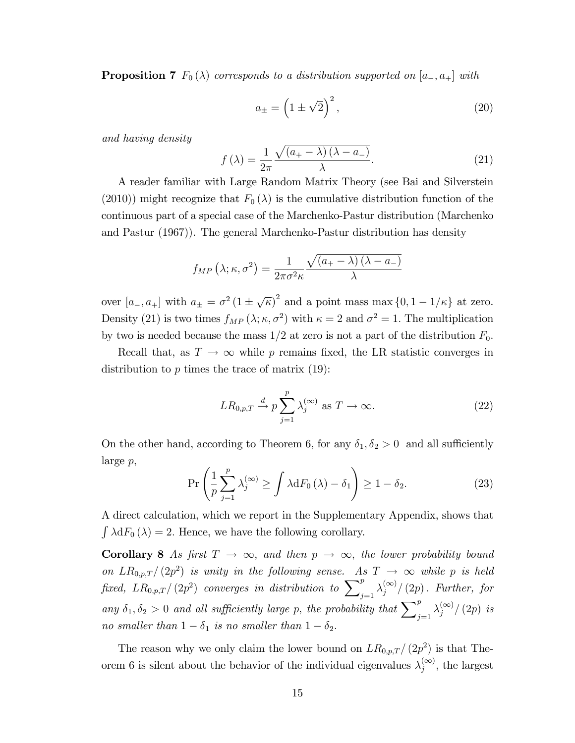**Proposition 7**  $F_0(\lambda)$  corresponds to a distribution supported on  $[a_-, a_+]$  with

$$
a_{\pm} = \left(1 \pm \sqrt{2}\right)^2,\tag{20}
$$

and having density

$$
f(\lambda) = \frac{1}{2\pi} \frac{\sqrt{(a_{+} - \lambda)(\lambda - a_{-})}}{\lambda}.
$$
 (21)

A reader familiar with Large Random Matrix Theory (see Bai and Silverstein (2010)) might recognize that  $F_0(\lambda)$  is the cumulative distribution function of the continuous part of a special case of the Marchenko-Pastur distribution (Marchenko and Pastur (1967)). The general Marchenko-Pastur distribution has density

$$
f_{MP}(\lambda; \kappa, \sigma^2) = \frac{1}{2\pi\sigma^2\kappa} \frac{\sqrt{(a_+ - \lambda)(\lambda - a_-)}}{\lambda}
$$

over  $[a_-, a_+]$  with  $a_{\pm} = \sigma^2 (1 \pm \sqrt{\kappa})^2$  and a point mass max  $\{0, 1 - 1/\kappa\}$  at zero. Density (21) is two times  $f_{MP}(\lambda; \kappa, \sigma^2)$  with  $\kappa = 2$  and  $\sigma^2 = 1$ . The multiplication by two is needed because the mass  $1/2$  at zero is not a part of the distribution  $F_0$ .

Recall that, as  $T \to \infty$  while p remains fixed, the LR statistic converges in distribution to  $p$  times the trace of matrix  $(19)$ :

$$
LR_{0,p,T} \xrightarrow{d} p \sum_{j=1}^{p} \lambda_j^{(\infty)} \text{ as } T \to \infty.
$$
 (22)

On the other hand, according to Theorem 6, for any  $\delta_1, \delta_2 > 0$  and all sufficiently large p;

$$
\Pr\left(\frac{1}{p}\sum_{j=1}^{p}\lambda_j^{(\infty)}\geq \int \lambda \mathrm{d}F_0\left(\lambda\right)-\delta_1\right)\geq 1-\delta_2.\tag{23}
$$

A direct calculation, which we report in the Supplementary Appendix, shows that  $\int \lambda dF_0(\lambda) = 2$ . Hence, we have the following corollary.

**Corollary 8** As first  $T \rightarrow \infty$ , and then  $p \rightarrow \infty$ , the lower probability bound on  $LR_{0,p,T}/(2p^2)$  is unity in the following sense. As  $T \rightarrow \infty$  while p is held fixed,  $LR_{0,p,T}/(2p^2)$  converges in distribution to  $\sum_{j=1}^p \lambda_j^{(\infty)}/(2p)$ . Further, for any  $\delta_1, \delta_2 > 0$  and all sufficiently large p, the probability that  $\sum_{j=1}^p \lambda_j^{(\infty)}/(2p)$  is no smaller than  $1 - \delta_1$  is no smaller than  $1 - \delta_2$ .

The reason why we only claim the lower bound on  $LR_{0,p,T}/(2p^2)$  is that Theorem 6 is silent about the behavior of the individual eigenvalues  $\lambda_j^{(\infty)}$ , the largest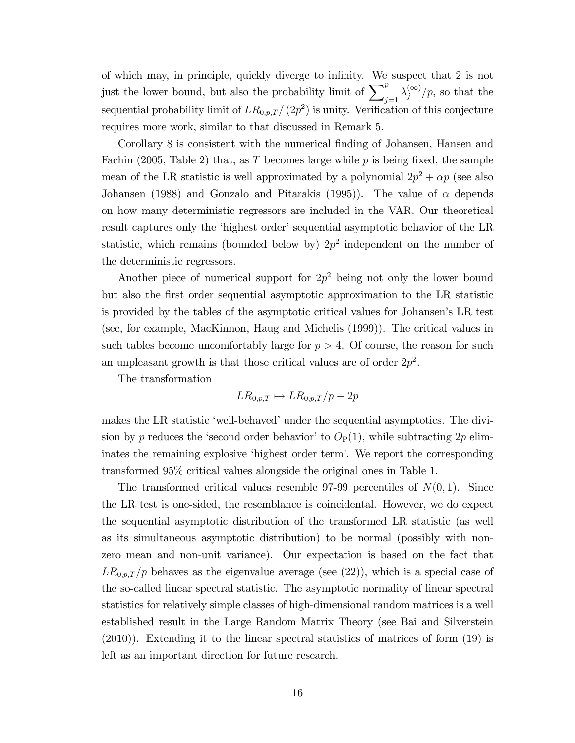of which may, in principle, quickly diverge to infinity. We suspect that 2 is not just the lower bound, but also the probability limit of  $\sum_{j=1}^{p} \lambda_j^{(\infty)} / p$ , so that the sequential probability limit of  $LR_{0,p,T}/(2p^2)$  is unity. Verification of this conjecture requires more work, similar to that discussed in Remark 5.

Corollary 8 is consistent with the numerical finding of Johansen, Hansen and Fachin (2005, Table 2) that, as T becomes large while p is being fixed, the sample mean of the LR statistic is well approximated by a polynomial  $2p^2 + \alpha p$  (see also Johansen (1988) and Gonzalo and Pitarakis (1995)). The value of  $\alpha$  depends on how many deterministic regressors are included in the VAR. Our theoretical result captures only the 'highest order' sequential asymptotic behavior of the LR statistic, which remains (bounded below by)  $2p^2$  independent on the number of the deterministic regressors.

Another piece of numerical support for  $2p^2$  being not only the lower bound but also the Örst order sequential asymptotic approximation to the LR statistic is provided by the tables of the asymptotic critical values for Johansenís LR test (see, for example, MacKinnon, Haug and Michelis (1999)). The critical values in such tables become uncomfortably large for  $p > 4$ . Of course, the reason for such an unpleasant growth is that those critical values are of order  $2p^2$ .

The transformation

$$
LR_{0,p,T} \mapsto LR_{0,p,T}/p - 2p
$$

makes the LR statistic 'well-behaved' under the sequential asymptotics. The division by p reduces the 'second order behavior' to  $O_P(1)$ , while subtracting 2p eliminates the remaining explosive 'highest order term'. We report the corresponding transformed 95% critical values alongside the original ones in Table 1.

The transformed critical values resemble 97-99 percentiles of  $N(0, 1)$ . Since the LR test is one-sided, the resemblance is coincidental. However, we do expect the sequential asymptotic distribution of the transformed LR statistic (as well as its simultaneous asymptotic distribution) to be normal (possibly with nonzero mean and non-unit variance). Our expectation is based on the fact that  $LR_{0,p,T}/p$  behaves as the eigenvalue average (see (22)), which is a special case of the so-called linear spectral statistic. The asymptotic normality of linear spectral statistics for relatively simple classes of high-dimensional random matrices is a well established result in the Large Random Matrix Theory (see Bai and Silverstein (2010)). Extending it to the linear spectral statistics of matrices of form (19) is left as an important direction for future research.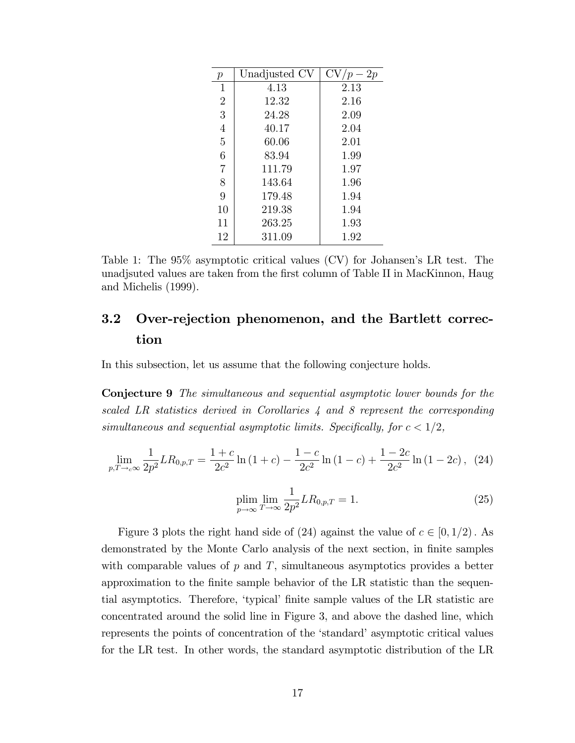| р              | Unadjusted CV | $CV/p-2p$ |
|----------------|---------------|-----------|
| $\mathbf{1}$   | 4.13          | 2.13      |
| $\overline{2}$ | 12.32         | 2.16      |
| 3              | 24.28         | 2.09      |
| $\overline{4}$ | 40.17         | 2.04      |
| $\overline{5}$ | 60.06         | 2.01      |
| 6              | 83.94         | 1.99      |
| $\overline{7}$ | 111.79        | 1.97      |
| 8              | 143.64        | 1.96      |
| 9              | 179.48        | 1.94      |
| 10             | 219.38        | 1.94      |
| 11             | 263.25        | 1.93      |
| 12             | 311.09        | 1.92      |

Table 1: The 95% asymptotic critical values (CV) for Johansen's LR test. The unadj suted values are taken from the first column of Table II in MacKinnon, Haug and Michelis (1999).

# 3.2 Over-rejection phenomenon, and the Bartlett correction

In this subsection, let us assume that the following conjecture holds.

Conjecture 9 The simultaneous and sequential asymptotic lower bounds for the scaled LR statistics derived in Corollaries 4 and 8 represent the corresponding simultaneous and sequential asymptotic limits. Specifically, for  $c < 1/2$ ,

$$
\lim_{p,T \to c} \frac{1}{2p^2} L R_{0,p,T} = \frac{1+c}{2c^2} \ln\left(1+c\right) - \frac{1-c}{2c^2} \ln\left(1-c\right) + \frac{1-2c}{2c^2} \ln\left(1-2c\right), \tag{24}
$$

$$
\lim_{p \to \infty} \lim_{T \to \infty} \frac{1}{2p^2} L R_{0,p,T} = 1.
$$
\n(25)

Figure 3 plots the right hand side of (24) against the value of  $c \in [0, 1/2)$ . As demonstrated by the Monte Carlo analysis of the next section, in finite samples with comparable values of  $p$  and  $T$ , simultaneous asymptotics provides a better approximation to the finite sample behavior of the LR statistic than the sequential asymptotics. Therefore, 'typical' finite sample values of the LR statistic are concentrated around the solid line in Figure 3, and above the dashed line, which represents the points of concentration of the 'standard' asymptotic critical values for the LR test. In other words, the standard asymptotic distribution of the LR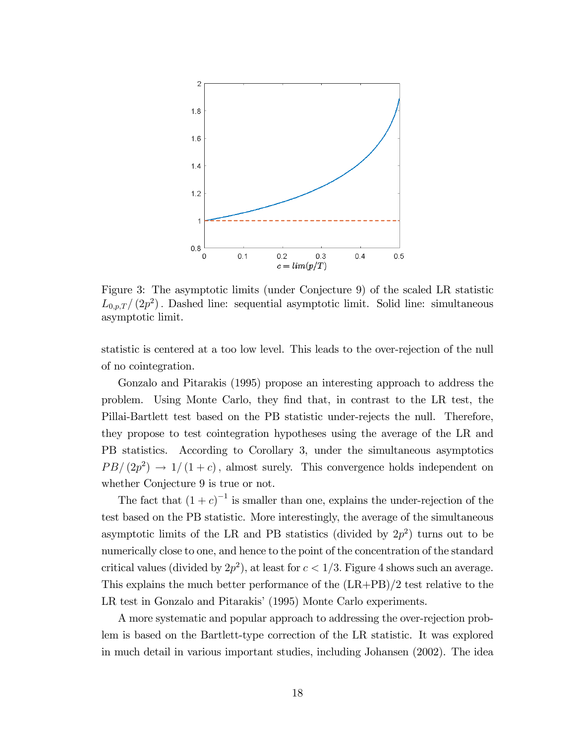

Figure 3: The asymptotic limits (under Conjecture 9) of the scaled LR statistic  $L_{0,p,T}/(2p^2)$ . Dashed line: sequential asymptotic limit. Solid line: simultaneous asymptotic limit.

statistic is centered at a too low level. This leads to the over-rejection of the null of no cointegration.

Gonzalo and Pitarakis (1995) propose an interesting approach to address the problem. Using Monte Carlo, they Önd that, in contrast to the LR test, the Pillai-Bartlett test based on the PB statistic under-rejects the null. Therefore, they propose to test cointegration hypotheses using the average of the LR and PB statistics. According to Corollary 3, under the simultaneous asymptotics  $PB/ (2p^2) \rightarrow 1/ (1+c)$ , almost surely. This convergence holds independent on whether Conjecture 9 is true or not.

The fact that  $(1+c)^{-1}$  is smaller than one, explains the under-rejection of the test based on the PB statistic. More interestingly, the average of the simultaneous asymptotic limits of the LR and PB statistics (divided by  $2p^2$ ) turns out to be numerically close to one, and hence to the point of the concentration of the standard critical values (divided by  $2p^2$ ), at least for  $c < 1/3$ . Figure 4 shows such an average. This explains the much better performance of the (LR+PB)/2 test relative to the LR test in Gonzalo and Pitarakis' (1995) Monte Carlo experiments.

A more systematic and popular approach to addressing the over-rejection problem is based on the Bartlett-type correction of the LR statistic. It was explored in much detail in various important studies, including Johansen (2002). The idea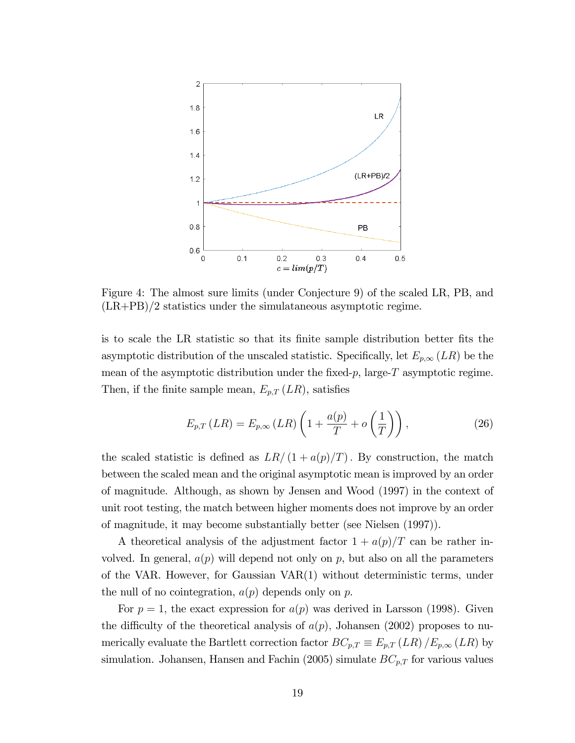

Figure 4: The almost sure limits (under Conjecture 9) of the scaled LR, PB, and (LR+PB)/2 statistics under the simulataneous asymptotic regime.

is to scale the LR statistic so that its Önite sample distribution better Öts the asymptotic distribution of the unscaled statistic. Specifically, let  $E_{p,\infty}(LR)$  be the mean of the asymptotic distribution under the fixed- $p$ , large- $T$  asymptotic regime. Then, if the finite sample mean,  $E_{p,T}(LR)$ , satisfies

$$
E_{p,T}(LR) = E_{p,\infty}(LR) \left( 1 + \frac{a(p)}{T} + o\left(\frac{1}{T}\right) \right),\tag{26}
$$

the scaled statistic is defined as  $LR/(1 + a(p)/T)$ . By construction, the match between the scaled mean and the original asymptotic mean is improved by an order of magnitude. Although, as shown by Jensen and Wood (1997) in the context of unit root testing, the match between higher moments does not improve by an order of magnitude, it may become substantially better (see Nielsen (1997)).

A theoretical analysis of the adjustment factor  $1 + a(p)/T$  can be rather involved. In general,  $a(p)$  will depend not only on p, but also on all the parameters of the VAR. However, for Gaussian VAR(1) without deterministic terms, under the null of no cointegration,  $a(p)$  depends only on p.

For  $p = 1$ , the exact expression for  $a(p)$  was derived in Larsson (1998). Given the difficulty of the theoretical analysis of  $a(p)$ , Johansen (2002) proposes to numerically evaluate the Bartlett correction factor  $BC_{p,T} \equiv E_{p,T}(LR) / E_{p,\infty}(LR)$  by simulation. Johansen, Hansen and Fachin (2005) simulate  $BC_{p,T}$  for various values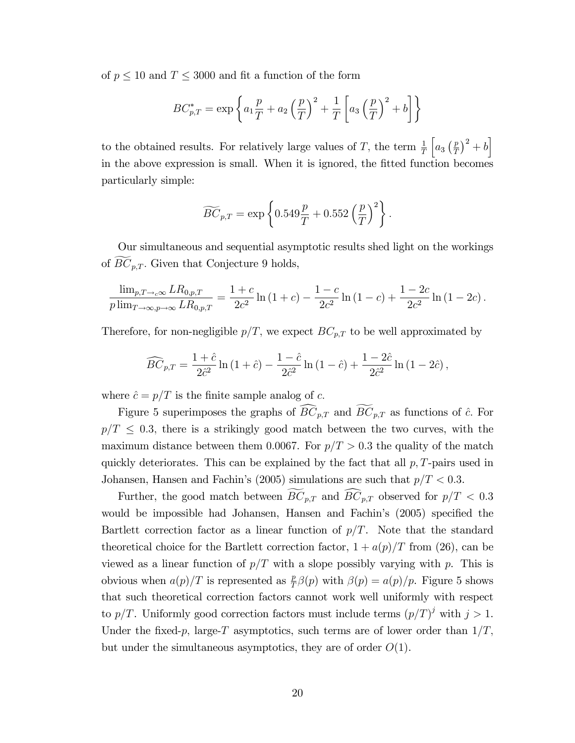of  $p \leq 10$  and  $T \leq 3000$  and fit a function of the form

$$
BC_{p,T}^* = \exp\left\{a_1\frac{p}{T} + a_2\left(\frac{p}{T}\right)^2 + \frac{1}{T}\left[a_3\left(\frac{p}{T}\right)^2 + b\right]\right\}
$$

to the obtained results. For relatively large values of T, the term  $\frac{1}{T}$  $\int a_3 \left(\frac{p}{7}\right)$  $\left[\frac{p}{T}\right)^2 + b$ in the above expression is small. When it is ignored, the fitted function becomes particularly simple:

$$
\widetilde{BC}_{p,T} = \exp\left\{0.549\frac{p}{T} + 0.552\left(\frac{p}{T}\right)^2\right\}.
$$

Our simultaneous and sequential asymptotic results shed light on the workings of  $BC_{p,T}$ . Given that Conjecture 9 holds,

$$
\frac{\lim_{p,T \to c} L R_{0,p,T}}{p \lim_{T \to \infty, p \to \infty} L R_{0,p,T}} = \frac{1+c}{2c^2} \ln(1+c) - \frac{1-c}{2c^2} \ln(1-c) + \frac{1-2c}{2c^2} \ln(1-2c).
$$

Therefore, for non-negligible  $p/T$ , we expect  $BC_{p,T}$  to be well approximated by

$$
\widehat{BC}_{p,T} = \frac{1+\hat{c}}{2\hat{c}^2} \ln(1+\hat{c}) - \frac{1-\hat{c}}{2\hat{c}^2} \ln(1-\hat{c}) + \frac{1-2\hat{c}}{2\hat{c}^2} \ln(1-2\hat{c}),
$$

where  $\hat{c} = p/T$  is the finite sample analog of c.

Figure 5 superimposes the graphs of  $\widehat{BC}_{p,T}$  and  $\widetilde{BC}_{p,T}$  as functions of  $\hat{c}$ . For  $p/T \leq 0.3$ , there is a strikingly good match between the two curves, with the maximum distance between them 0.0067. For  $p/T > 0.3$  the quality of the match quickly deteriorates. This can be explained by the fact that all  $p, T$ -pairs used in Johansen, Hansen and Fachin's (2005) simulations are such that  $p/T < 0.3$ .

Further, the good match between  $\overline{BC}_{p,T}$  and  $\overline{BC}_{p,T}$  observed for  $p/T < 0.3$ would be impossible had Johansen, Hansen and Fachin's (2005) specified the Bartlett correction factor as a linear function of  $p/T$ . Note that the standard theoretical choice for the Bartlett correction factor,  $1 + a(p)/T$  from (26), can be viewed as a linear function of  $p/T$  with a slope possibly varying with p. This is obvious when  $a(p)/T$  is represented as  $\frac{p}{T}\beta(p)$  with  $\beta(p) = a(p)/p$ . Figure 5 shows that such theoretical correction factors cannot work well uniformly with respect to  $p/T$ . Uniformly good correction factors must include terms  $(p/T)^j$  with  $j > 1$ . Under the fixed-p, large-T asymptotics, such terms are of lower order than  $1/T$ , but under the simultaneous asymptotics, they are of order  $O(1)$ .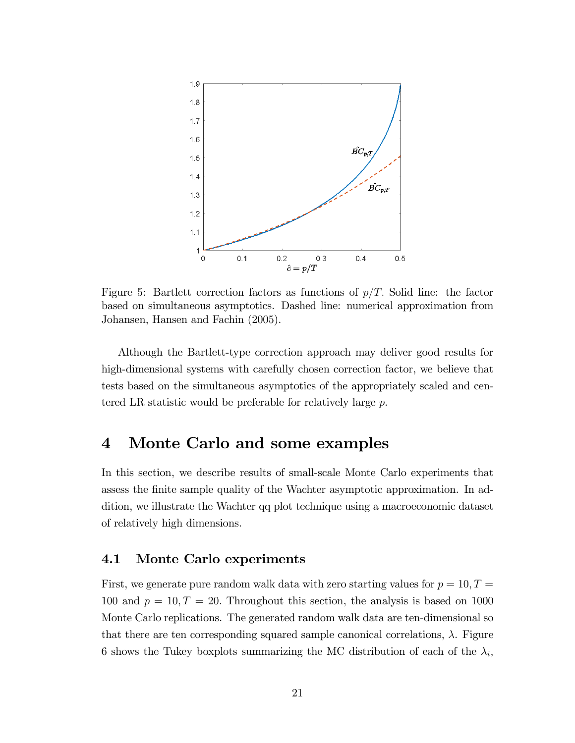

Figure 5: Bartlett correction factors as functions of  $p/T$ . Solid line: the factor based on simultaneous asymptotics. Dashed line: numerical approximation from Johansen, Hansen and Fachin (2005).

Although the Bartlett-type correction approach may deliver good results for high-dimensional systems with carefully chosen correction factor, we believe that tests based on the simultaneous asymptotics of the appropriately scaled and centered LR statistic would be preferable for relatively large p.

## 4 Monte Carlo and some examples

In this section, we describe results of small-scale Monte Carlo experiments that assess the finite sample quality of the Wachter asymptotic approximation. In addition, we illustrate the Wachter qq plot technique using a macroeconomic dataset of relatively high dimensions.

## 4.1 Monte Carlo experiments

First, we generate pure random walk data with zero starting values for  $p = 10, T =$ 100 and  $p = 10, T = 20$ . Throughout this section, the analysis is based on 1000 Monte Carlo replications. The generated random walk data are ten-dimensional so that there are ten corresponding squared sample canonical correlations,  $\lambda$ . Figure 6 shows the Tukey boxplots summarizing the MC distribution of each of the  $\lambda_i$ ,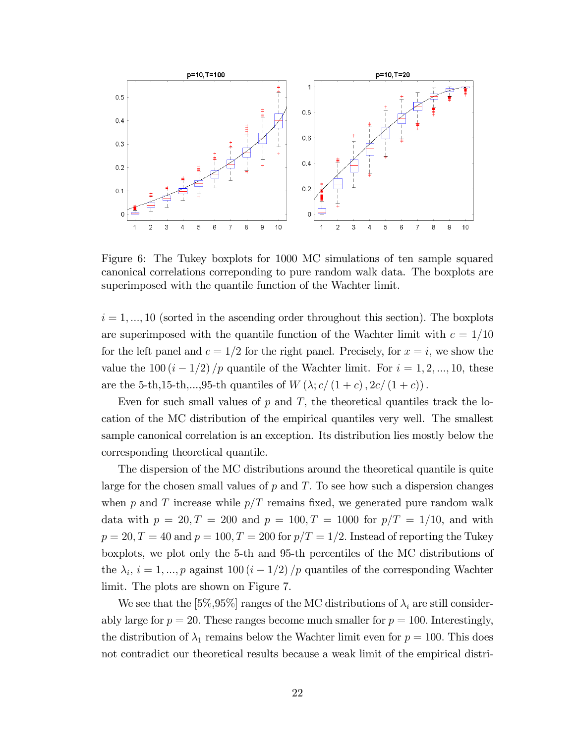

Figure 6: The Tukey boxplots for 1000 MC simulations of ten sample squared canonical correlations correponding to pure random walk data. The boxplots are superimposed with the quantile function of the Wachter limit.

 $i = 1, ..., 10$  (sorted in the ascending order throughout this section). The boxplots are superimposed with the quantile function of the Wachter limit with  $c = 1/10$ for the left panel and  $c = 1/2$  for the right panel. Precisely, for  $x = i$ , we show the value the 100  $(i-1/2)$  /p quantile of the Wachter limit. For  $i = 1, 2, ..., 10$ , these are the 5-th,15-th,...,95-th quantiles of  $W(\lambda; c/(1 + c), 2c/(1 + c))$ .

Even for such small values of  $p$  and  $T$ , the theoretical quantiles track the location of the MC distribution of the empirical quantiles very well. The smallest sample canonical correlation is an exception. Its distribution lies mostly below the corresponding theoretical quantile.

The dispersion of the MC distributions around the theoretical quantile is quite large for the chosen small values of  $p$  and  $T$ . To see how such a dispersion changes when p and T increase while  $p/T$  remains fixed, we generated pure random walk data with  $p = 20, T = 200$  and  $p = 100, T = 1000$  for  $p/T = 1/10$ , and with  $p = 20, T = 40$  and  $p = 100, T = 200$  for  $p/T = 1/2$ . Instead of reporting the Tukey boxplots, we plot only the 5-th and 95-th percentiles of the MC distributions of the  $\lambda_i$ ,  $i = 1, ..., p$  against 100 (i - 1/2) p quantiles of the corresponding Wachter limit. The plots are shown on Figure 7.

We see that the [5%,95%] ranges of the MC distributions of  $\lambda_i$  are still considerably large for  $p = 20$ . These ranges become much smaller for  $p = 100$ . Interestingly, the distribution of  $\lambda_1$  remains below the Wachter limit even for  $p = 100$ . This does not contradict our theoretical results because a weak limit of the empirical distri-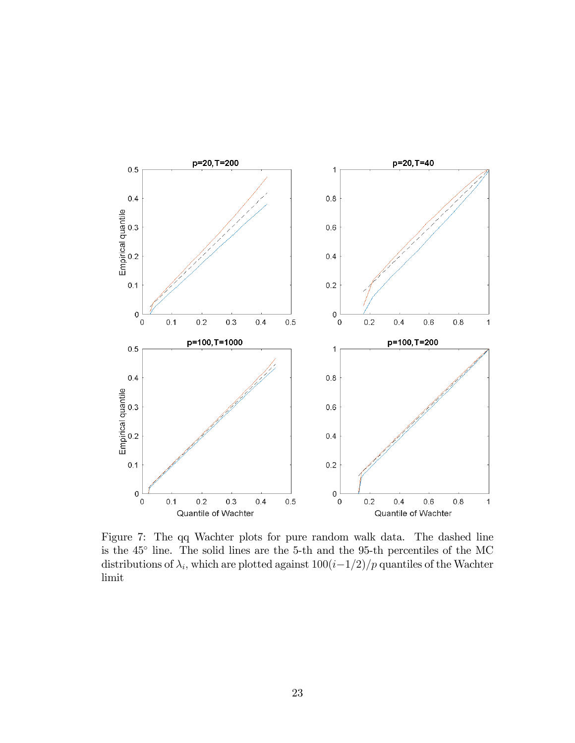

Figure 7: The qq Wachter plots for pure random walk data. The dashed line is the 45 line. The solid lines are the 5-th and the 95-th percentiles of the MC distributions of  $\lambda_i$ , which are plotted against  $100(i-1/2)/p$  quantiles of the Wachter limit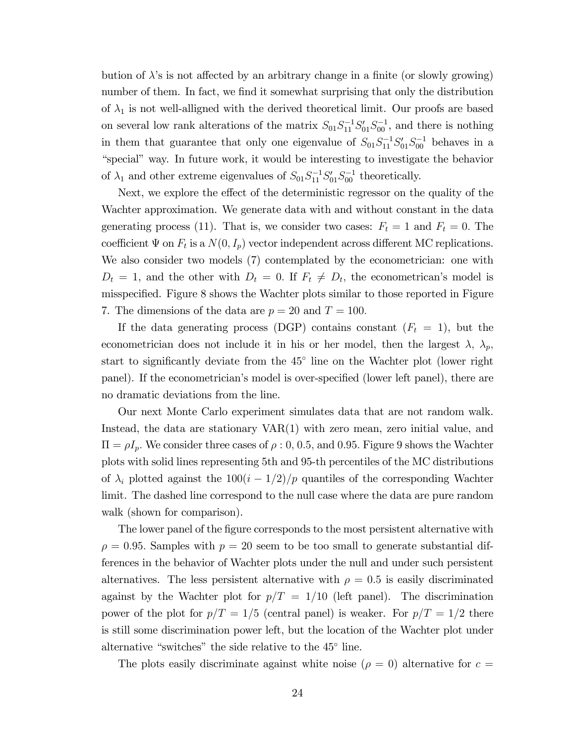bution of  $\lambda$ 's is not affected by an arbitrary change in a finite (or slowly growing) number of them. In fact, we find it somewhat surprising that only the distribution of  $\lambda_1$  is not well-alligned with the derived theoretical limit. Our proofs are based on several low rank alterations of the matrix  $S_{01}S_{11}^{-1}S_{01}'S_{00}^{-1}$ , and there is nothing in them that guarantee that only one eigenvalue of  $S_{01}S_{11}^{-1}S_{01}'S_{00}^{-1}$  behaves in a ìspecialîway. In future work, it would be interesting to investigate the behavior of  $\lambda_1$  and other extreme eigenvalues of  $S_{01}S_{11}^{-1}S_{01}'S_{00}^{-1}$  theoretically.

Next, we explore the effect of the deterministic regressor on the quality of the Wachter approximation. We generate data with and without constant in the data generating process (11). That is, we consider two cases:  $F_t = 1$  and  $F_t = 0$ . The coefficient  $\Psi$  on  $F_t$  is a  $N(0, I_p)$  vector independent across different MC replications. We also consider two models (7) contemplated by the econometrician: one with  $D_t = 1$ , and the other with  $D_t = 0$ . If  $F_t \neq D_t$ , the econometrican's model is misspecified. Figure 8 shows the Wachter plots similar to those reported in Figure 7. The dimensions of the data are  $p = 20$  and  $T = 100$ .

If the data generating process (DGP) contains constant  $(F_t = 1)$ , but the econometrician does not include it in his or her model, then the largest  $\lambda$ ,  $\lambda_p$ , start to significantly deviate from the 45<sup>°</sup> line on the Wachter plot (lower right panel). If the econometrician's model is over-specified (lower left panel), there are no dramatic deviations from the line.

Our next Monte Carlo experiment simulates data that are not random walk. Instead, the data are stationary VAR(1) with zero mean, zero initial value, and  $\Pi = \rho I_p$ . We consider three cases of  $\rho : 0, 0.5$ , and 0.95. Figure 9 shows the Wachter plots with solid lines representing 5th and 95-th percentiles of the MC distributions of  $\lambda_i$  plotted against the  $100(i - 1/2)/p$  quantiles of the corresponding Wachter limit. The dashed line correspond to the null case where the data are pure random walk (shown for comparison).

The lower panel of the figure corresponds to the most persistent alternative with  $\rho = 0.95$ . Samples with  $p = 20$  seem to be too small to generate substantial differences in the behavior of Wachter plots under the null and under such persistent alternatives. The less persistent alternative with  $\rho = 0.5$  is easily discriminated against by the Wachter plot for  $p/T = 1/10$  (left panel). The discrimination power of the plot for  $p/T = 1/5$  (central panel) is weaker. For  $p/T = 1/2$  there is still some discrimination power left, but the location of the Wachter plot under alternative "switches" the side relative to the  $45^{\circ}$  line.

The plots easily discriminate against white noise  $(\rho = 0)$  alternative for  $c =$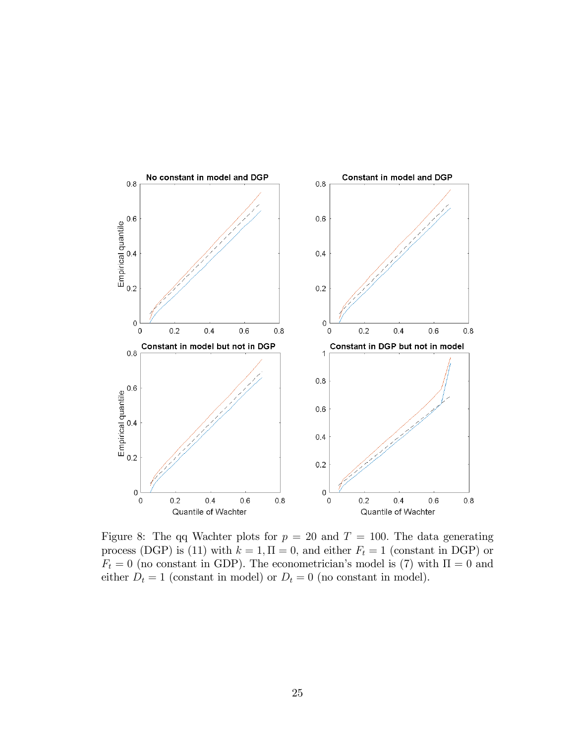

Figure 8: The qq Wachter plots for  $p = 20$  and  $T = 100$ . The data generating process (DGP) is (11) with  $k = 1$ ,  $\Pi = 0$ , and either  $F_t = 1$  (constant in DGP) or  $F<sub>t</sub> = 0$  (no constant in GDP). The econometrician's model is (7) with  $\Pi = 0$  and either  $D_t = 1$  (constant in model) or  $D_t = 0$  (no constant in model).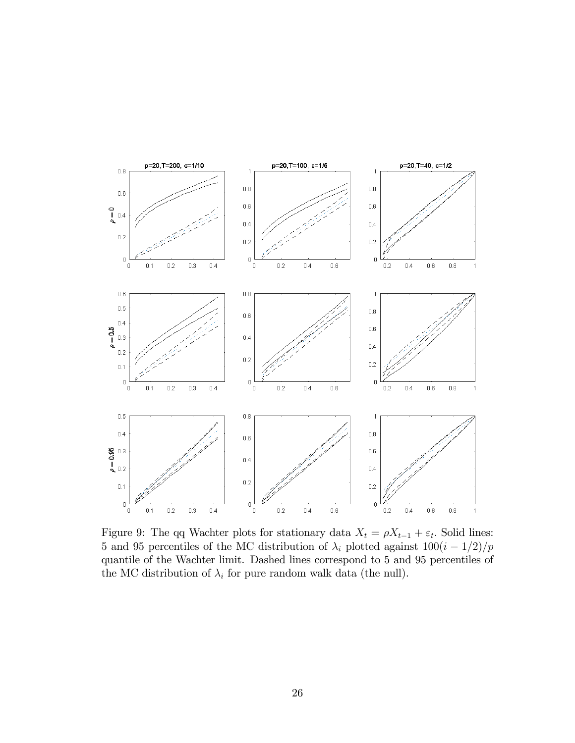

Figure 9: The qq Wachter plots for stationary data  $X_t = \rho X_{t-1} + \varepsilon_t$ . Solid lines: 5 and 95 percentiles of the MC distribution of  $\lambda_i$  plotted against  $100(i - 1/2)/p$ quantile of the Wachter limit. Dashed lines correspond to 5 and 95 percentiles of the MC distribution of  $\lambda_i$  for pure random walk data (the null).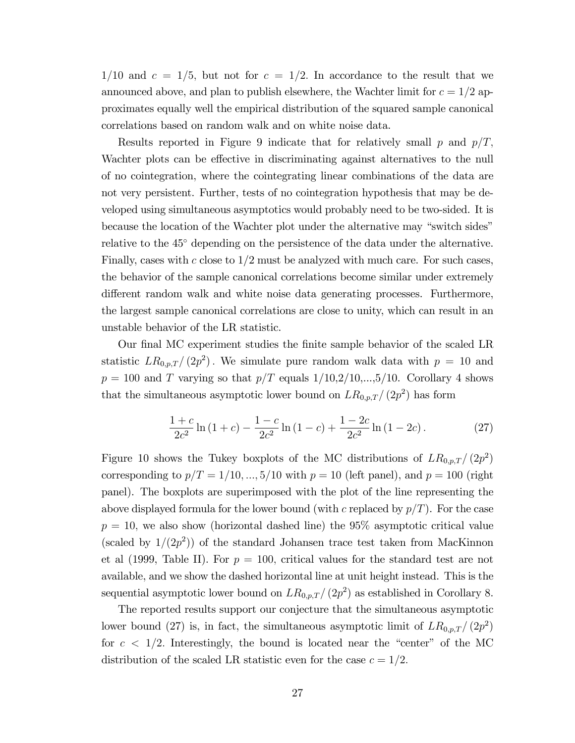$1/10$  and  $c = 1/5$ , but not for  $c = 1/2$ . In accordance to the result that we announced above, and plan to publish elsewhere, the Wachter limit for  $c = 1/2$  approximates equally well the empirical distribution of the squared sample canonical correlations based on random walk and on white noise data.

Results reported in Figure 9 indicate that for relatively small p and  $p/T$ ; Wachter plots can be effective in discriminating against alternatives to the null of no cointegration, where the cointegrating linear combinations of the data are not very persistent. Further, tests of no cointegration hypothesis that may be developed using simultaneous asymptotics would probably need to be two-sided. It is because the location of the Wachter plot under the alternative may "switch sides" relative to the  $45^{\circ}$  depending on the persistence of the data under the alternative. Finally, cases with  $c$  close to  $1/2$  must be analyzed with much care. For such cases, the behavior of the sample canonical correlations become similar under extremely different random walk and white noise data generating processes. Furthermore, the largest sample canonical correlations are close to unity, which can result in an unstable behavior of the LR statistic.

Our final MC experiment studies the finite sample behavior of the scaled LR statistic  $LR_{0,p,T}/(2p^2)$ . We simulate pure random walk data with  $p = 10$  and  $p = 100$  and T varying so that  $p/T$  equals  $1/10,2/10,...,5/10$ . Corollary 4 shows that the simultaneous asymptotic lower bound on  $LR_{0,p,T}/(2p^2)$  has form

$$
\frac{1+c}{2c^2}\ln\left(1+c\right) - \frac{1-c}{2c^2}\ln\left(1-c\right) + \frac{1-2c}{2c^2}\ln\left(1-2c\right). \tag{27}
$$

Figure 10 shows the Tukey boxplots of the MC distributions of  $LR_{0,p,T}/(2p^2)$ corresponding to  $p/T = 1/10, ..., 5/10$  with  $p = 10$  (left panel), and  $p = 100$  (right panel). The boxplots are superimposed with the plot of the line representing the above displayed formula for the lower bound (with c replaced by  $p/T$ ). For the case  $p = 10$ , we also show (horizontal dashed line) the 95% asymptotic critical value (scaled by  $1/(2p^2)$ ) of the standard Johansen trace test taken from MacKinnon et al (1999, Table II). For  $p = 100$ , critical values for the standard test are not available, and we show the dashed horizontal line at unit height instead. This is the sequential asymptotic lower bound on  $LR_{0,p,T}/(2p^2)$  as established in Corollary 8.

The reported results support our conjecture that the simultaneous asymptotic lower bound (27) is, in fact, the simultaneous asymptotic limit of  $LR_{0,p,T}/(2p^2)$ for  $c < 1/2$ . Interestingly, the bound is located near the "center" of the MC distribution of the scaled LR statistic even for the case  $c = 1/2$ .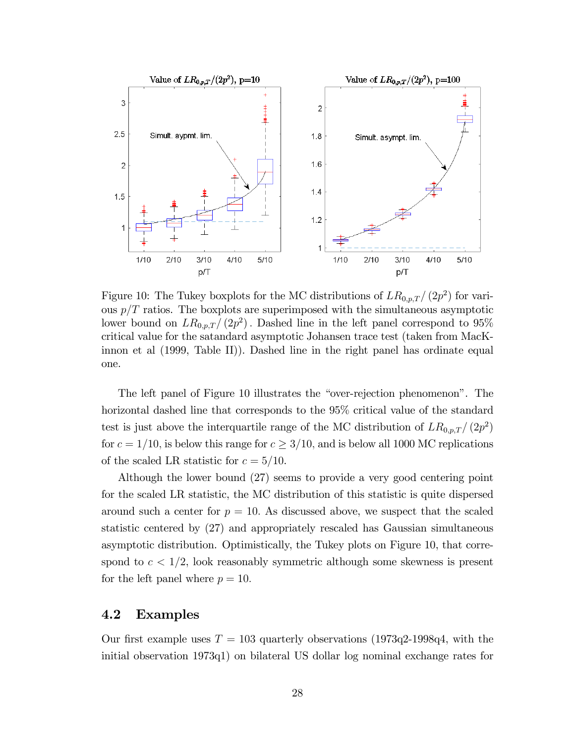

Figure 10: The Tukey boxplots for the MC distributions of  $LR_{0,p,T}/(2p^2)$  for various  $p/T$  ratios. The boxplots are superimposed with the simultaneous asymptotic lower bound on  $LR_{0,p,T}/(2p^2)$ . Dashed line in the left panel correspond to  $95\%$ critical value for the satandard asymptotic Johansen trace test (taken from MacKinnon et al (1999, Table II)). Dashed line in the right panel has ordinate equal one.

The left panel of Figure 10 illustrates the "over-rejection phenomenon". The horizontal dashed line that corresponds to the 95% critical value of the standard test is just above the interquartile range of the MC distribution of  $LR_{0,p,T}/(2p^2)$ for  $c = 1/10$ , is below this range for  $c \ge 3/10$ , and is below all 1000 MC replications of the scaled LR statistic for  $c = 5/10$ .

Although the lower bound (27) seems to provide a very good centering point for the scaled LR statistic, the MC distribution of this statistic is quite dispersed around such a center for  $p = 10$ . As discussed above, we suspect that the scaled statistic centered by (27) and appropriately rescaled has Gaussian simultaneous asymptotic distribution. Optimistically, the Tukey plots on Figure 10, that correspond to  $c < 1/2$ , look reasonably symmetric although some skewness is present for the left panel where  $p = 10$ .

## 4.2 Examples

Our first example uses  $T = 103$  quarterly observations (1973q2-1998q4, with the initial observation 1973q1) on bilateral US dollar log nominal exchange rates for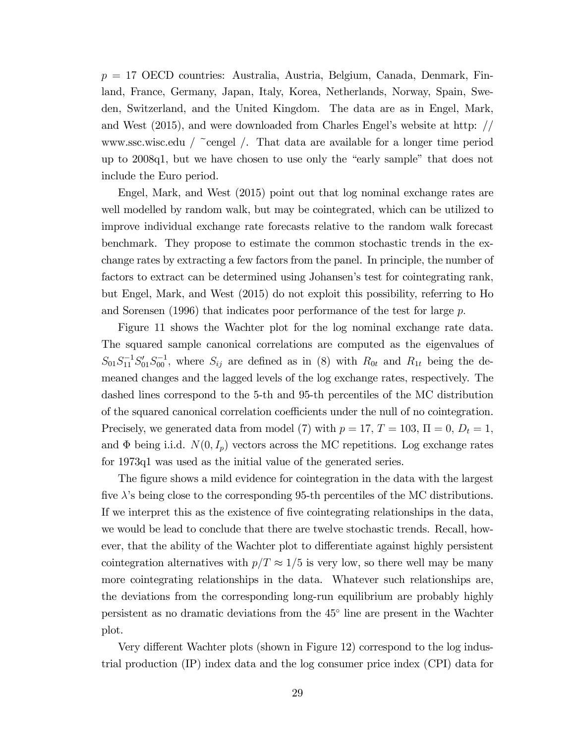$p = 17$  OECD countries: Australia, Austria, Belgium, Canada, Denmark, Finland, France, Germany, Japan, Italy, Korea, Netherlands, Norway, Spain, Sweden, Switzerland, and the United Kingdom. The data are as in Engel, Mark, and West  $(2015)$ , and were downloaded from Charles Engel's website at http:  $//$ www.ssc.wisc.edu  $\int$  cengel  $\ell$ . That data are available for a longer time period up to 2008q1, but we have chosen to use only the "early sample" that does not include the Euro period.

Engel, Mark, and West (2015) point out that log nominal exchange rates are well modelled by random walk, but may be cointegrated, which can be utilized to improve individual exchange rate forecasts relative to the random walk forecast benchmark. They propose to estimate the common stochastic trends in the exchange rates by extracting a few factors from the panel. In principle, the number of factors to extract can be determined using Johansen's test for cointegrating rank, but Engel, Mark, and West (2015) do not exploit this possibility, referring to Ho and Sorensen  $(1996)$  that indicates poor performance of the test for large p.

Figure 11 shows the Wachter plot for the log nominal exchange rate data. The squared sample canonical correlations are computed as the eigenvalues of  $S_{01}S_{11}^{-1}S_{01}'S_{00}^{-1}$ , where  $S_{ij}$  are defined as in (8) with  $R_{0t}$  and  $R_{1t}$  being the demeaned changes and the lagged levels of the log exchange rates, respectively. The dashed lines correspond to the 5-th and 95-th percentiles of the MC distribution of the squared canonical correlation coefficients under the null of no cointegration. Precisely, we generated data from model (7) with  $p = 17$ ,  $T = 103$ ,  $\Pi = 0$ ,  $D_t = 1$ , and  $\Phi$  being i.i.d.  $N(0, I_p)$  vectors across the MC repetitions. Log exchange rates for 1973q1 was used as the initial value of the generated series.

The figure shows a mild evidence for cointegration in the data with the largest five  $\lambda$ 's being close to the corresponding 95-th percentiles of the MC distributions. If we interpret this as the existence of Öve cointegrating relationships in the data, we would be lead to conclude that there are twelve stochastic trends. Recall, however, that the ability of the Wachter plot to differentiate against highly persistent cointegration alternatives with  $p/T \approx 1/5$  is very low, so there well may be many more cointegrating relationships in the data. Whatever such relationships are, the deviations from the corresponding long-run equilibrium are probably highly persistent as no dramatic deviations from the 45 line are present in the Wachter plot.

Very different Wachter plots (shown in Figure 12) correspond to the log industrial production (IP) index data and the log consumer price index (CPI) data for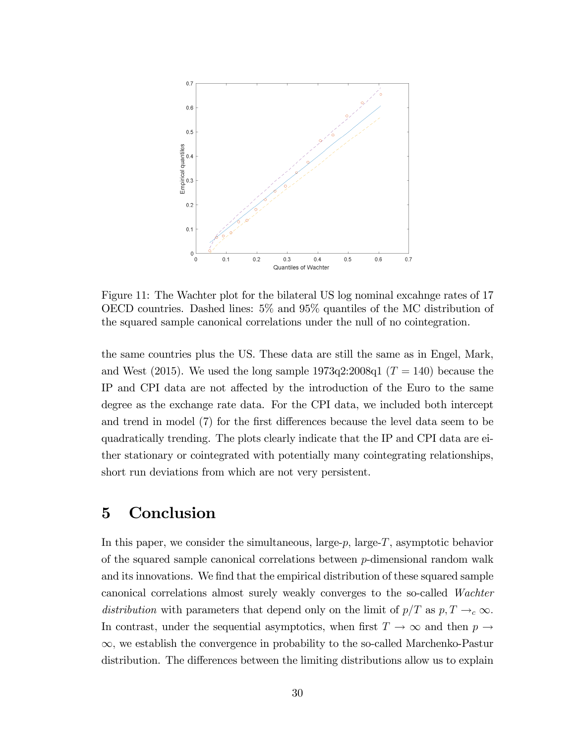

Figure 11: The Wachter plot for the bilateral US log nominal excahnge rates of 17 OECD countries. Dashed lines: 5% and 95% quantiles of the MC distribution of the squared sample canonical correlations under the null of no cointegration.

the same countries plus the US. These data are still the same as in Engel, Mark, and West (2015). We used the long sample  $1973q2:2008q1$  ( $T = 140$ ) because the IP and CPI data are not affected by the introduction of the Euro to the same degree as the exchange rate data. For the CPI data, we included both intercept and trend in model (7) for the first differences because the level data seem to be quadratically trending. The plots clearly indicate that the IP and CPI data are either stationary or cointegrated with potentially many cointegrating relationships, short run deviations from which are not very persistent.

# 5 Conclusion

In this paper, we consider the simultaneous, large- $p$ , large- $T$ , asymptotic behavior of the squared sample canonical correlations between  $p$ -dimensional random walk and its innovations. We find that the empirical distribution of these squared sample canonical correlations almost surely weakly converges to the so-called Wachter distribution with parameters that depend only on the limit of  $p/T$  as  $p, T \rightarrow_c \infty$ . In contrast, under the sequential asymptotics, when first  $T \to \infty$  and then  $p \to$  $\infty$ , we establish the convergence in probability to the so-called Marchenko-Pastur distribution. The differences between the limiting distributions allow us to explain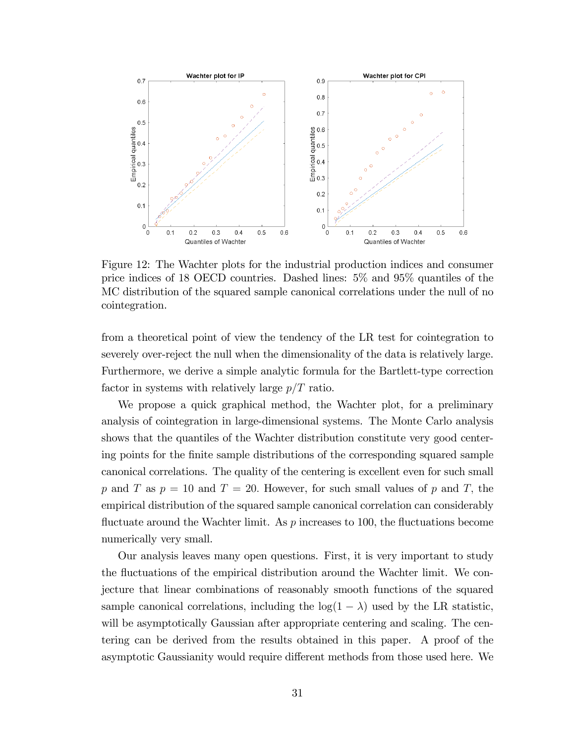

Figure 12: The Wachter plots for the industrial production indices and consumer price indices of 18 OECD countries. Dashed lines: 5% and 95% quantiles of the MC distribution of the squared sample canonical correlations under the null of no cointegration.

from a theoretical point of view the tendency of the LR test for cointegration to severely over-reject the null when the dimensionality of the data is relatively large. Furthermore, we derive a simple analytic formula for the Bartlett-type correction factor in systems with relatively large  $p/T$  ratio.

We propose a quick graphical method, the Wachter plot, for a preliminary analysis of cointegration in large-dimensional systems. The Monte Carlo analysis shows that the quantiles of the Wachter distribution constitute very good centering points for the Önite sample distributions of the corresponding squared sample canonical correlations. The quality of the centering is excellent even for such small p and T as  $p = 10$  and  $T = 20$ . However, for such small values of p and T, the empirical distribution of the squared sample canonical correlation can considerably fluctuate around the Wachter limit. As  $p$  increases to 100, the fluctuations become numerically very small.

Our analysis leaves many open questions. First, it is very important to study the fluctuations of the empirical distribution around the Wachter limit. We conjecture that linear combinations of reasonably smooth functions of the squared sample canonical correlations, including the  $log(1 - \lambda)$  used by the LR statistic, will be asymptotically Gaussian after appropriate centering and scaling. The centering can be derived from the results obtained in this paper. A proof of the asymptotic Gaussianity would require different methods from those used here. We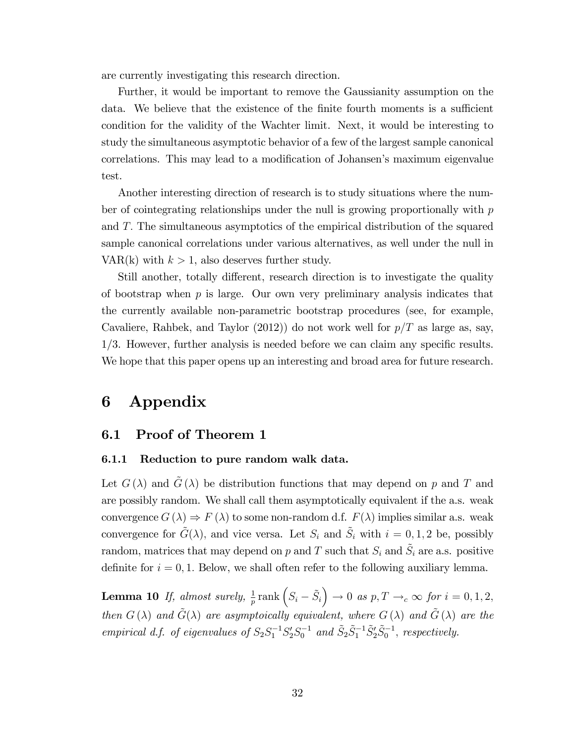are currently investigating this research direction.

Further, it would be important to remove the Gaussianity assumption on the data. We believe that the existence of the finite fourth moments is a sufficient condition for the validity of the Wachter limit. Next, it would be interesting to study the simultaneous asymptotic behavior of a few of the largest sample canonical correlations. This may lead to a modification of Johansen's maximum eigenvalue test.

Another interesting direction of research is to study situations where the number of cointegrating relationships under the null is growing proportionally with  $p$ and T: The simultaneous asymptotics of the empirical distribution of the squared sample canonical correlations under various alternatives, as well under the null in VAR(k) with  $k > 1$ , also deserves further study.

Still another, totally different, research direction is to investigate the quality of bootstrap when  $p$  is large. Our own very preliminary analysis indicates that the currently available non-parametric bootstrap procedures (see, for example, Cavaliere, Rahbek, and Taylor (2012)) do not work well for  $p/T$  as large as, say,  $1/3$ . However, further analysis is needed before we can claim any specific results. We hope that this paper opens up an interesting and broad area for future research.

# 6 Appendix

## 6.1 Proof of Theorem 1

### 6.1.1 Reduction to pure random walk data.

Let  $G(\lambda)$  and  $\tilde{G}(\lambda)$  be distribution functions that may depend on p and T and are possibly random. We shall call them asymptotically equivalent if the a.s. weak convergence  $G(\lambda) \Rightarrow F(\lambda)$  to some non-random d.f.  $F(\lambda)$  implies similar a.s. weak convergence for  $\tilde{G}(\lambda)$ , and vice versa. Let  $S_i$  and  $\tilde{S}_i$  with  $i = 0, 1, 2$  be, possibly random, matrices that may depend on p and T such that  $S_i$  and  $\tilde{S}_i$  are a.s. positive definite for  $i = 0, 1$ . Below, we shall often refer to the following auxiliary lemma.

**Lemma 10** If, almost surely,  $\frac{1}{p}$  rank  $(S_i - \tilde{S}_i) \rightarrow 0$  as  $p, T \rightarrow_c \infty$  for  $i = 0, 1, 2$ , then  $G(\lambda)$  and  $\tilde{G}(\lambda)$  are asymptoically equivalent, where  $G(\lambda)$  and  $\tilde{G}(\lambda)$  are the empirical d.f. of eigenvalues of  $S_2S_1^{-1}S_2'S_0^{-1}$  and  $\tilde{S}_2\tilde{S}_1^{-1}\tilde{S}_2'\tilde{S}_0^{-1}$ , respectively.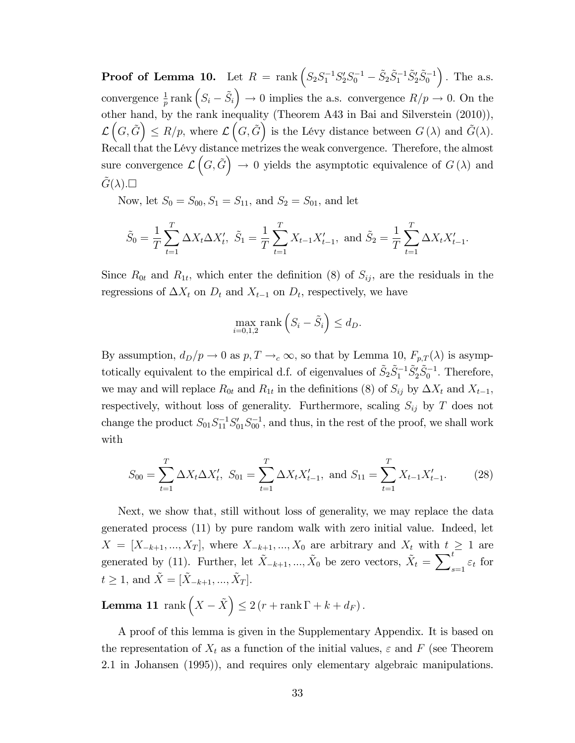**Proof of Lemma 10.** Let  $R = \text{rank} \left( S_2 S_1^{-1} S_2' S_0^{-1} - \tilde{S}_2 \tilde{S}_1^{-1} \tilde{S}_2' \tilde{S}_0^{-1} \right)$  $\big)$ . The a.s. convergence  $\frac{1}{p}$  rank  $(S_i - \tilde{S}_i) \to 0$  implies the a.s. convergence  $R/p \to 0$ . On the other hand, by the rank inequality (Theorem A43 in Bai and Silverstein (2010)), L  $(G, \tilde{G}) \leq R/p$ , where  $\mathcal{L}(G, \tilde{G})$  is the Lévy distance between  $G(\lambda)$  and  $\tilde{G}(\lambda)$ . Recall that the Lévy distance metrizes the weak convergence. Therefore, the almost sure convergence  $\mathcal{L}(\tilde{G}, \tilde{G}) \to 0$  yields the asymptotic equivalence of  $G(\lambda)$  and  $\tilde{G}(\lambda).\Box$ 

Now, let  $S_0 = S_{00}$ ,  $S_1 = S_{11}$ , and  $S_2 = S_{01}$ , and let

$$
\tilde{S}_0 = \frac{1}{T} \sum_{t=1}^T \Delta X_t \Delta X'_t, \ \tilde{S}_1 = \frac{1}{T} \sum_{t=1}^T X_{t-1} X'_{t-1}, \text{ and } \tilde{S}_2 = \frac{1}{T} \sum_{t=1}^T \Delta X_t X'_{t-1}.
$$

Since  $R_{0t}$  and  $R_{1t}$ , which enter the definition (8) of  $S_{ij}$ , are the residuals in the regressions of  $\Delta X_t$  on  $D_t$  and  $X_{t-1}$  on  $D_t$ , respectively, we have

$$
\max_{i=0,1,2} \text{rank}\left(S_i - \tilde{S}_i\right) \le d_D.
$$

By assumption,  $d_D/p \to 0$  as  $p, T \to_c \infty$ , so that by Lemma 10,  $F_{p,T}(\lambda)$  is asymptotically equivalent to the empirical d.f. of eigenvalues of  $\tilde{S}_2 \tilde{S}_1^{-1} \tilde{S}_2' \tilde{S}_0^{-1}$ . Therefore, we may and will replace  $R_{0t}$  and  $R_{1t}$  in the definitions (8) of  $S_{ij}$  by  $\Delta X_t$  and  $X_{t-1}$ , respectively, without loss of generality. Furthermore, scaling  $S_{ij}$  by T does not change the product  $S_{01}S_{11}^{-1}S_{01}'S_{00}^{-1}$ , and thus, in the rest of the proof, we shall work with

$$
S_{00} = \sum_{t=1}^{T} \Delta X_t \Delta X'_t, \ S_{01} = \sum_{t=1}^{T} \Delta X_t X'_{t-1}, \text{ and } S_{11} = \sum_{t=1}^{T} X_{t-1} X'_{t-1}.
$$
 (28)

Next, we show that, still without loss of generality, we may replace the data generated process (11) by pure random walk with zero initial value. Indeed, let  $X = [X_{-k+1},..., X_T]$ , where  $X_{-k+1},..., X_0$  are arbitrary and  $X_t$  with  $t \geq 1$  are generated by (11). Further, let  $\tilde{X}_{-k+1},...,\tilde{X}_0$  be zero vectors,  $\tilde{X}_t = \sum_s^t$  $\sum_{s=1} \varepsilon_t$  for  $t \geq 1$ , and  $\tilde{X} = [\tilde{X}_{-k+1}, ..., \tilde{X}_{T}].$ 

**Lemma 11** rank  $(X - \tilde{X}) \leq 2(r + \text{rank } \Gamma + k + d_F)$ .

A proof of this lemma is given in the Supplementary Appendix. It is based on the representation of  $X_t$  as a function of the initial values,  $\varepsilon$  and F (see Theorem 2.1 in Johansen (1995)), and requires only elementary algebraic manipulations.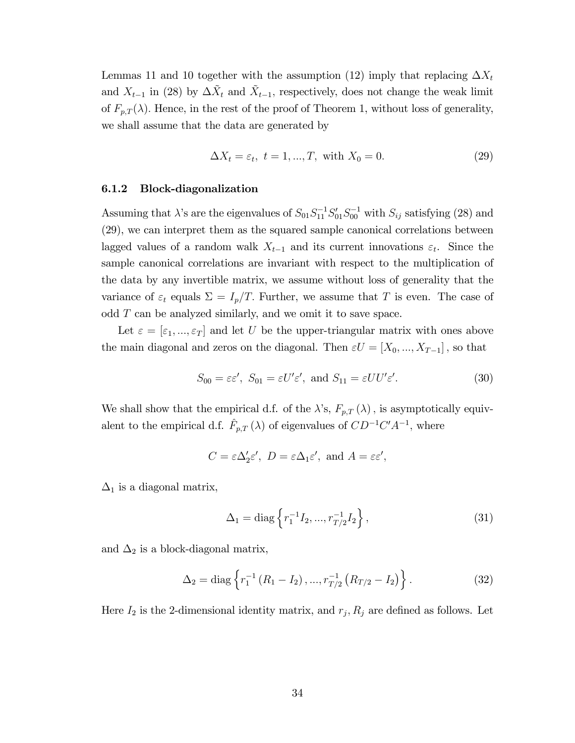Lemmas 11 and 10 together with the assumption (12) imply that replacing  $\Delta X_t$ and  $X_{t-1}$  in (28) by  $\Delta \tilde{X}_t$  and  $\tilde{X}_{t-1}$ , respectively, does not change the weak limit of  $F_{p,T}(\lambda)$ . Hence, in the rest of the proof of Theorem 1, without loss of generality, we shall assume that the data are generated by

$$
\Delta X_t = \varepsilon_t, \ t = 1, \dots, T, \text{ with } X_0 = 0. \tag{29}
$$

#### 6.1.2 Block-diagonalization

Assuming that  $\lambda$ 's are the eigenvalues of  $S_{01}S_{11}^{-1}S_{01}'S_{00}^{-1}$  with  $S_{ij}$  satisfying (28) and (29), we can interpret them as the squared sample canonical correlations between lagged values of a random walk  $X_{t-1}$  and its current innovations  $\varepsilon_t$ . Since the sample canonical correlations are invariant with respect to the multiplication of the data by any invertible matrix, we assume without loss of generality that the variance of  $\varepsilon_t$  equals  $\Sigma = I_p/T$ . Further, we assume that T is even. The case of odd T can be analyzed similarly, and we omit it to save space.

Let  $\varepsilon = [\varepsilon_1, ..., \varepsilon_T]$  and let U be the upper-triangular matrix with ones above the main diagonal and zeros on the diagonal. Then  $\varepsilon U = [X_0, ..., X_{T-1}]$ , so that

$$
S_{00} = \varepsilon \varepsilon', \ S_{01} = \varepsilon U' \varepsilon', \text{ and } S_{11} = \varepsilon U U' \varepsilon'. \tag{30}
$$

We shall show that the empirical d.f. of the  $\lambda$ 's,  $F_{p,T}(\lambda)$ , is asymptotically equivalent to the empirical d.f.  $\hat{F}_{p,T}(\lambda)$  of eigenvalues of  $CD^{-1}C'A^{-1}$ , where

$$
C = \varepsilon \Delta_2' \varepsilon', \ D = \varepsilon \Delta_1 \varepsilon', \text{ and } A = \varepsilon \varepsilon',
$$

 $\Delta_1$  is a diagonal matrix,

$$
\Delta_1 = \text{diag}\left\{r_1^{-1}I_2, ..., r_{T/2}^{-1}I_2\right\},\tag{31}
$$

and  $\Delta_2$  is a block-diagonal matrix,

$$
\Delta_2 = \text{diag}\left\{ r_1^{-1} \left( R_1 - I_2 \right), \dots, r_{T/2}^{-1} \left( R_{T/2} - I_2 \right) \right\}. \tag{32}
$$

Here  $I_2$  is the 2-dimensional identity matrix, and  $r_j$ ,  $R_j$  are defined as follows. Let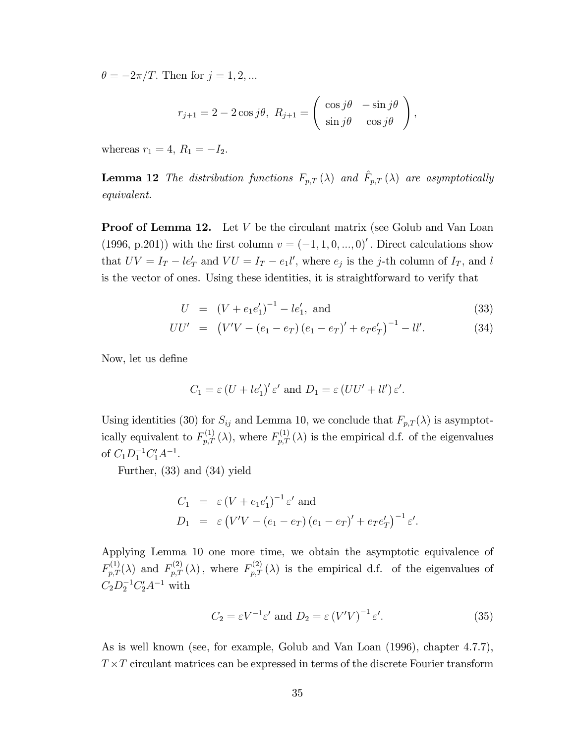$\theta = -2\pi/T$ . Then for  $j = 1, 2, ...$ 

$$
r_{j+1} = 2 - 2\cos j\theta, \ R_{j+1} = \begin{pmatrix} \cos j\theta & -\sin j\theta \\ \sin j\theta & \cos j\theta \end{pmatrix},
$$

whereas  $r_1 = 4, R_1 = -I_2$ .

**Lemma 12** The distribution functions  $F_{p,T}(\lambda)$  and  $\hat{F}_{p,T}(\lambda)$  are asymptotically equivalent.

**Proof of Lemma 12.** Let  $V$  be the circulant matrix (see Golub and Van Loan  $(1996, p.201)$  with the first column  $v = (-1, 1, 0, ..., 0)'$ . Direct calculations show that  $UV = I_T - le'_T$  and  $VU = I_T - e_1 l'$ , where  $e_j$  is the j-th column of  $I_T$ , and l is the vector of ones. Using these identities, it is straightforward to verify that

$$
U = (V + e_1 e_1')^{-1} - l e_1', \text{ and } (33)
$$

$$
UU' = (V'V - (e_1 - e_T)(e_1 - e_T)' + e_T e_T')^{-1} - ll'. \qquad (34)
$$

Now, let us define

$$
C_1 = \varepsilon (U + l e_1')' \varepsilon' \text{ and } D_1 = \varepsilon (U U' + l l') \varepsilon'.
$$

Using identities (30) for  $S_{ij}$  and Lemma 10, we conclude that  $F_{p,T}(\lambda)$  is asymptotically equivalent to  $F_{p,T}^{(1)}(\lambda)$ , where  $F_{p,T}^{(1)}(\lambda)$  is the empirical d.f. of the eigenvalues of  $C_1D_1^{-1}C_1'A^{-1}$ .

Further, (33) and (34) yield

$$
C_1 = \varepsilon (V + e_1 e_1')^{-1} \varepsilon' \text{ and}
$$
  
\n
$$
D_1 = \varepsilon (V'V - (e_1 - e_T) (e_1 - e_T)' + e_T e_T')^{-1} \varepsilon'.
$$

Applying Lemma 10 one more time, we obtain the asymptotic equivalence of  $F_{p,T}^{(1)}(\lambda)$  and  $F_{p,T}^{(2)}(\lambda)$ , where  $F_{p,T}^{(2)}(\lambda)$  is the empirical d.f. of the eigenvalues of  $C_2D_2^{-1}C_2'A^{-1}$  with

$$
C_2 = \varepsilon V^{-1} \varepsilon' \text{ and } D_2 = \varepsilon (V'V)^{-1} \varepsilon'. \tag{35}
$$

As is well known (see, for example, Golub and Van Loan (1996), chapter 4.7.7),  $T \times T$  circulant matrices can be expressed in terms of the discrete Fourier transform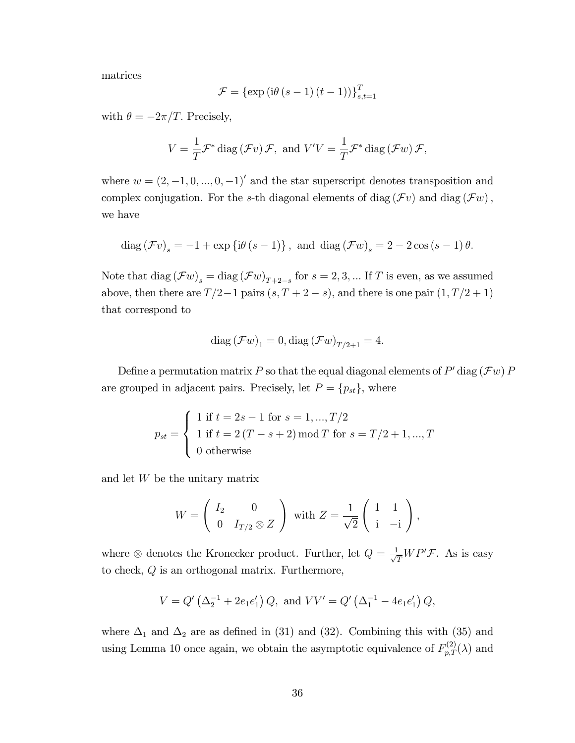matrices

$$
\mathcal{F} = \{\exp(i\theta (s-1) (t-1))\}_{s,t=1}^T
$$

with  $\theta = -2\pi/T$ . Precisely,

$$
V = \frac{1}{T} \mathcal{F}^* \operatorname{diag} (\mathcal{F}v) \mathcal{F}, \text{ and } V'V = \frac{1}{T} \mathcal{F}^* \operatorname{diag} (\mathcal{F}w) \mathcal{F},
$$

where  $w = (2, -1, 0, ..., 0, -1)$  and the star superscript denotes transposition and complex conjugation. For the s-th diagonal elements of diag  $(\mathcal{F}v)$  and diag  $(\mathcal{F}w)$ , we have

diag 
$$
(\mathcal{F}v)_s = -1 + \exp{\lbrace i\theta(s-1)\rbrace}
$$
, and diag  $(\mathcal{F}w)_s = 2 - 2\cos(s-1)\theta$ .

Note that  $diag (\mathcal{F}w)_s = diag (\mathcal{F}w)_{T+2-s}$  for  $s = 2, 3, ...$  If T is even, as we assumed above, then there are  $T/2-1$  pairs  $(s, T + 2 - s)$ , and there is one pair  $(1, T/2 + 1)$ that correspond to

$$
diag\left(\mathcal{F}w\right)_1=0, diag\left(\mathcal{F}w\right)_{T/2+1}=4.
$$

Define a permutation matrix  $P$  so that the equal diagonal elements of  $P'$  diag  $(\mathcal{F}w)$   $P$ are grouped in adjacent pairs. Precisely, let  $P = \{p_{st}\}\,$  where

$$
p_{st} = \begin{cases} 1 \text{ if } t = 2s - 1 \text{ for } s = 1, ..., T/2 \\ 1 \text{ if } t = 2(T - s + 2) \text{ mod } T \text{ for } s = T/2 + 1, ..., T \\ 0 \text{ otherwise} \end{cases}
$$

and let W be the unitary matrix

$$
W = \begin{pmatrix} I_2 & 0 \\ 0 & I_{T/2} \otimes Z \end{pmatrix} \text{ with } Z = \frac{1}{\sqrt{2}} \begin{pmatrix} 1 & 1 \\ 1 & -i \end{pmatrix},
$$

where  $\otimes$  denotes the Kronecker product. Further, let  $Q = \frac{1}{\sqrt{T}}WP'\mathcal{F}$ . As is easy to check,  $Q$  is an orthogonal matrix. Furthermore,

$$
V = Q' (\Delta_2^{-1} + 2e_1e'_1) Q
$$
, and  $VV' = Q' (\Delta_1^{-1} - 4e_1e'_1) Q$ ,

where  $\Delta_1$  and  $\Delta_2$  are as defined in (31) and (32). Combining this with (35) and using Lemma 10 once again, we obtain the asymptotic equivalence of  $F_{p,T}^{(2)}(\lambda)$  and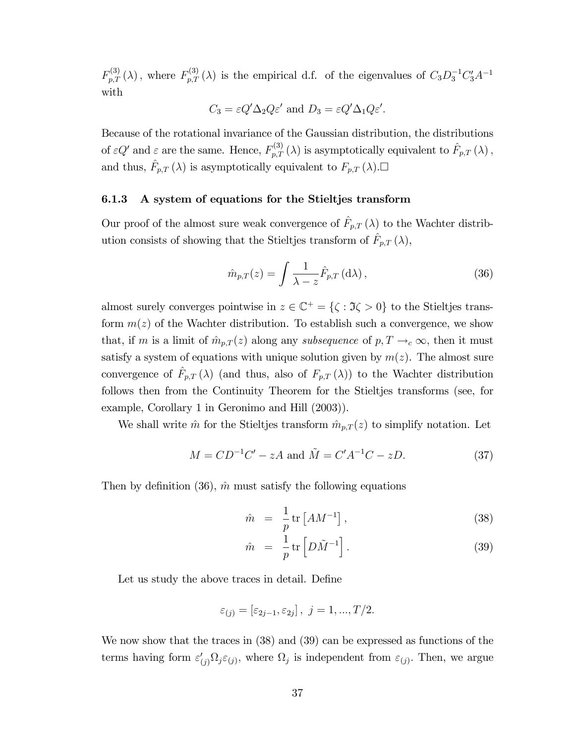$F_{p,T}^{(3)}(\lambda)$ , where  $F_{p,T}^{(3)}(\lambda)$  is the empirical d.f. of the eigenvalues of  $C_3D_3^{-1}C_3'A^{-1}$ with

$$
C_3 = \varepsilon Q' \Delta_2 Q \varepsilon'
$$
 and  $D_3 = \varepsilon Q' \Delta_1 Q \varepsilon'.$ 

Because of the rotational invariance of the Gaussian distribution, the distributions of  $\varepsilon Q'$  and  $\varepsilon$  are the same. Hence,  $F_{p,T}^{(3)}(\lambda)$  is asymptotically equivalent to  $\hat{F}_{p,T}(\lambda)$ , and thus,  $\hat{F}_{p,T} (\lambda)$  is asymptotically equivalent to  $F_{p,T} (\lambda)$ .

#### 6.1.3 A system of equations for the Stieltjes transform

Our proof of the almost sure weak convergence of  $\hat{F}_{p,T}(\lambda)$  to the Wachter distribution consists of showing that the Stieltjes transform of  $\hat{F}_{p,T}(\lambda)$ ,

$$
\hat{m}_{p,T}(z) = \int \frac{1}{\lambda - z} \hat{F}_{p,T} \left( d\lambda \right),\tag{36}
$$

almost surely converges pointwise in  $z \in \mathbb{C}^+ = \{ \zeta : \Im \zeta > 0 \}$  to the Stieltjes transform  $m(z)$  of the Wachter distribution. To establish such a convergence, we show that, if m is a limit of  $\hat{m}_{p,T} (z)$  along any subsequence of  $p, T \rightarrow_c \infty$ , then it must satisfy a system of equations with unique solution given by  $m(z)$ . The almost sure convergence of  $\hat{F}_{p,T} (\lambda)$  (and thus, also of  $F_{p,T} (\lambda)$ ) to the Wachter distribution follows then from the Continuity Theorem for the Stieltjes transforms (see, for example, Corollary 1 in Geronimo and Hill (2003)).

We shall write  $\hat{m}$  for the Stieltjes transform  $\hat{m}_{p,T} (z)$  to simplify notation. Let

$$
M = CD^{-1}C' - zA \text{ and } \tilde{M} = C'A^{-1}C - zD.
$$
 (37)

Then by definition (36),  $\hat{m}$  must satisfy the following equations

$$
\hat{m} = \frac{1}{p} \operatorname{tr} \left[ A M^{-1} \right], \tag{38}
$$

$$
\hat{m} = \frac{1}{p} \operatorname{tr} \left[ D\tilde{M}^{-1} \right]. \tag{39}
$$

Let us study the above traces in detail. Define

$$
\varepsilon_{(j)} = \left[\varepsilon_{2j-1}, \varepsilon_{2j}\right], \ j = 1, ..., T/2.
$$

We now show that the traces in (38) and (39) can be expressed as functions of the terms having form  $\varepsilon'_{(j)}\Omega_j\varepsilon_{(j)}$ , where  $\Omega_j$  is independent from  $\varepsilon_{(j)}$ . Then, we argue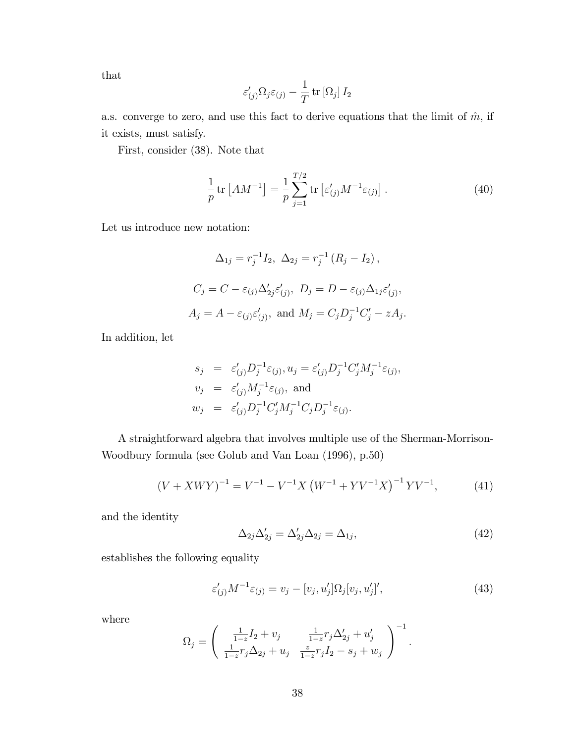that

$$
\varepsilon'_{(j)}\Omega_j\varepsilon_{(j)}-\frac{1}{T}\mathop{\rm tr}\nolimits\left[\Omega_j\right]I_2
$$

a.s. converge to zero, and use this fact to derive equations that the limit of  $\hat{m}$ , if it exists, must satisfy.

First, consider (38). Note that

$$
\frac{1}{p}\operatorname{tr}\left[AM^{-1}\right] = \frac{1}{p}\sum_{j=1}^{T/2}\operatorname{tr}\left[\varepsilon'_{(j)}M^{-1}\varepsilon_{(j)}\right].\tag{40}
$$

Let us introduce new notation:

$$
\Delta_{1j} = r_j^{-1} I_2, \ \Delta_{2j} = r_j^{-1} (R_j - I_2),
$$
  

$$
C_j = C - \varepsilon_{(j)} \Delta'_{2j} \varepsilon'_{(j)}, \ D_j = D - \varepsilon_{(j)} \Delta_{1j} \varepsilon'_{(j)},
$$
  

$$
A_j = A - \varepsilon_{(j)} \varepsilon'_{(j)}, \text{ and } M_j = C_j D_j^{-1} C'_j - z A_j.
$$

In addition, let

$$
s_j = \varepsilon'_{(j)} D_j^{-1} \varepsilon_{(j)}, u_j = \varepsilon'_{(j)} D_j^{-1} C'_j M_j^{-1} \varepsilon_{(j)},
$$
  
\n
$$
v_j = \varepsilon'_{(j)} M_j^{-1} \varepsilon_{(j)}, \text{ and}
$$
  
\n
$$
w_j = \varepsilon'_{(j)} D_j^{-1} C'_j M_j^{-1} C_j D_j^{-1} \varepsilon_{(j)}.
$$

A straightforward algebra that involves multiple use of the Sherman-Morrison-Woodbury formula (see Golub and Van Loan (1996), p.50)

$$
(V + XWY)^{-1} = V^{-1} - V^{-1}X (W^{-1} + YV^{-1}X)^{-1} YV^{-1},
$$
 (41)

and the identity

$$
\Delta_{2j}\Delta'_{2j} = \Delta'_{2j}\Delta_{2j} = \Delta_{1j},\tag{42}
$$

establishes the following equality

$$
\varepsilon'_{(j)}M^{-1}\varepsilon_{(j)} = v_j - [v_j, u'_j]\Omega_j[v_j, u'_j]',\tag{43}
$$

where

$$
\Omega_j = \begin{pmatrix} \frac{1}{1-z}I_2 + v_j & \frac{1}{1-z}r_j\Delta'_{2j} + u'_j\\ \frac{1}{1-z}r_j\Delta_{2j} + u_j & \frac{z}{1-z}r_jI_2 - s_j + w_j \end{pmatrix}^{-1}.
$$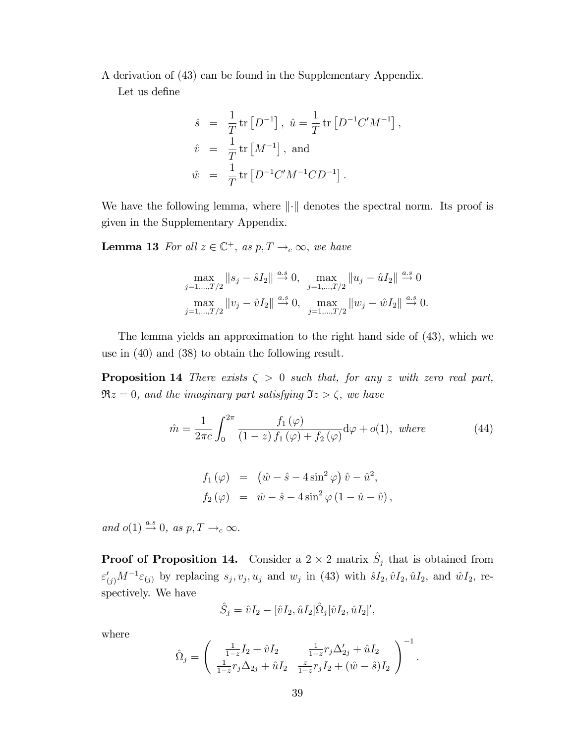A derivation of (43) can be found in the Supplementary Appendix. Let us define

$$
\hat{s} = \frac{1}{T} \text{tr} [D^{-1}], \ \hat{u} = \frac{1}{T} \text{tr} [D^{-1}C'M^{-1}],
$$
  

$$
\hat{v} = \frac{1}{T} \text{tr} [M^{-1}], \text{ and}
$$
  

$$
\hat{w} = \frac{1}{T} \text{tr} [D^{-1}C'M^{-1}CD^{-1}].
$$

We have the following lemma, where  $\|\cdot\|$  denotes the spectral norm. Its proof is given in the Supplementary Appendix.

**Lemma 13** For all  $z \in \mathbb{C}^+$ , as  $p, T \rightarrow_c \infty$ , we have

$$
\max_{j=1,\dots,T/2} \|s_j - \hat{s}I_2\| \stackrel{a.s}{\to} 0, \quad \max_{j=1,\dots,T/2} \|u_j - \hat{u}I_2\| \stackrel{a.s}{\to} 0
$$
  

$$
\max_{j=1,\dots,T/2} \|v_j - \hat{v}I_2\| \stackrel{a.s}{\to} 0, \quad \max_{j=1,\dots,T/2} \|w_j - \hat{w}I_2\| \stackrel{a.s}{\to} 0.
$$

The lemma yields an approximation to the right hand side of (43), which we use in (40) and (38) to obtain the following result.

**Proposition 14** There exists  $\zeta > 0$  such that, for any z with zero real part,  $\Re z = 0$ , and the imaginary part satisfying  $\Im z > \zeta$ , we have

$$
\hat{m} = \frac{1}{2\pi c} \int_0^{2\pi} \frac{f_1(\varphi)}{(1-z) f_1(\varphi) + f_2(\varphi)} d\varphi + o(1), \text{ where } (44)
$$

$$
f_1(\varphi) = (\hat{w} - \hat{s} - 4\sin^2 \varphi) \hat{v} - \hat{u}^2,
$$
  

$$
f_2(\varphi) = \hat{w} - \hat{s} - 4\sin^2 \varphi (1 - \hat{u} - \hat{v}),
$$

and  $o(1) \stackrel{a.s}{\rightarrow} 0$ , as  $p, T \rightarrow_c \infty$ .

**Proof of Proposition 14.** Consider a  $2 \times 2$  matrix  $\hat{S}_j$  that is obtained from  $\varepsilon'_{(j)}M^{-1}\varepsilon_{(j)}$  by replacing  $s_j, v_j, u_j$  and  $w_j$  in (43) with  $\hat{s}I_2, \hat{v}I_2, \hat{u}I_2$ , and  $\hat{w}I_2$ , respectively. We have

$$
\hat{S}_j = \hat{v}I_2 - [\hat{v}I_2, \hat{u}I_2]\hat{\Omega}_j[\hat{v}I_2, \hat{u}I_2]',
$$

where

$$
\hat{\Omega}_j = \begin{pmatrix} \frac{1}{1-z}I_2 + \hat{v}I_2 & \frac{1}{1-z}r_j\Delta'_{2j} + \hat{u}I_2\\ \frac{1}{1-z}r_j\Delta_{2j} + \hat{u}I_2 & \frac{z}{1-z}r_jI_2 + (\hat{w} - \hat{s})I_2 \end{pmatrix}^{-1}.
$$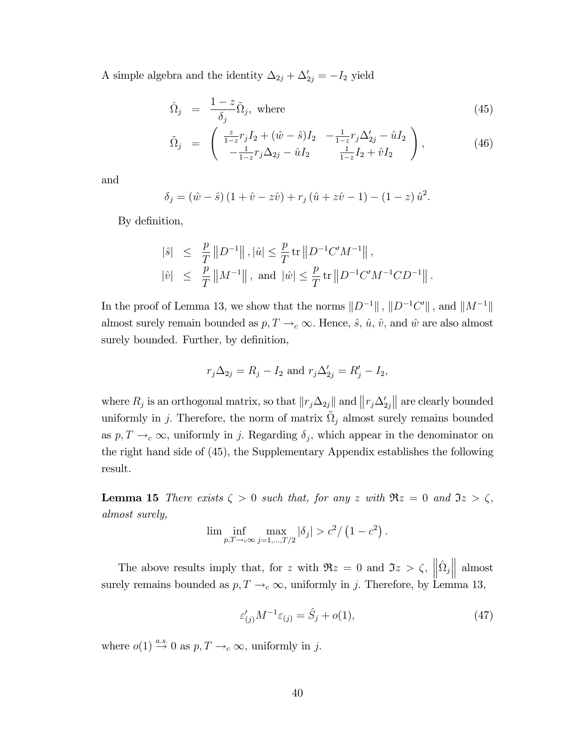A simple algebra and the identity  $\Delta_{2j} + \Delta'_{2j} = -I_2$  yield

$$
\hat{\Omega}_j = \frac{1-z}{\delta_j} \tilde{\Omega}_j, \text{ where } \tag{45}
$$

$$
\tilde{\Omega}_j = \begin{pmatrix} \frac{z}{1-z} r_j I_2 + (\hat{w} - \hat{s}) I_2 & -\frac{1}{1-z} r_j \Delta_{2j}' - \hat{u} I_2 \\ -\frac{1}{1-z} r_j \Delta_{2j} - \hat{u} I_2 & \frac{1}{1-z} I_2 + \hat{v} I_2 \end{pmatrix},
$$
\n(46)

and

$$
\delta_j = (\hat{w} - \hat{s}) (1 + \hat{v} - z\hat{v}) + r_j (\hat{u} + z\hat{v} - 1) - (1 - z) \hat{u}^2.
$$

By definition,

$$
\begin{array}{lcl} |\hat{s}| & \leq & \frac{p}{T} \left\| D^{-1} \right\|, |\hat{u}| \leq \frac{p}{T} \operatorname{tr} \left\| D^{-1} C' M^{-1} \right\|, \\[2mm] |\hat{v}| & \leq & \frac{p}{T} \left\| M^{-1} \right\|, \text{ and } |\hat{w}| \leq \frac{p}{T} \operatorname{tr} \left\| D^{-1} C' M^{-1} C D^{-1} \right\|. \end{array}
$$

In the proof of Lemma 13, we show that the norms  $||D^{-1}||$ ,  $||D^{-1}C'||$ , and  $||M^{-1}||$ almost surely remain bounded as  $p, T \rightarrow_c \infty$ . Hence,  $\hat{s}$ ,  $\hat{u}$ ,  $\hat{v}$ , and  $\hat{w}$  are also almost surely bounded. Further, by definition,

$$
r_j \Delta_{2j} = R_j - I_2
$$
 and  $r_j \Delta'_{2j} = R'_j - I_2$ ,

where  $R_j$  is an orthogonal matrix, so that  $||r_j \Delta_{2j}||$  and  $||r_j \Delta_{2j}||$  are clearly bounded uniformly in j. Therefore, the norm of matrix  $\tilde{\Omega}_j$  almost surely remains bounded as  $p, T \rightarrow_c \infty$ , uniformly in j. Regarding  $\delta_j$ , which appear in the denominator on the right hand side of (45), the Supplementary Appendix establishes the following result.

**Lemma 15** There exists  $\zeta > 0$  such that, for any z with  $\Re z = 0$  and  $\Im z > \zeta$ , almost surely,

$$
\lim \inf_{p,T \to c} \max_{j=1,...,T/2} |\delta_j| > c^2 / (1 - c^2).
$$

The above results imply that, for z with  $\Re z = 0$  and  $\Im z > \zeta$ ,  $\left\|\hat{\Omega}_j\right\|$  almost surely remains bounded as  $p, T \rightarrow_c \infty$ , uniformly in j. Therefore, by Lemma 13,

$$
\varepsilon'_{(j)}M^{-1}\varepsilon_{(j)} = \hat{S}_j + o(1),\tag{47}
$$

where  $o(1) \stackrel{a.s.}{\rightarrow} 0$  as  $p, T \rightarrow_c \infty$ , uniformly in j.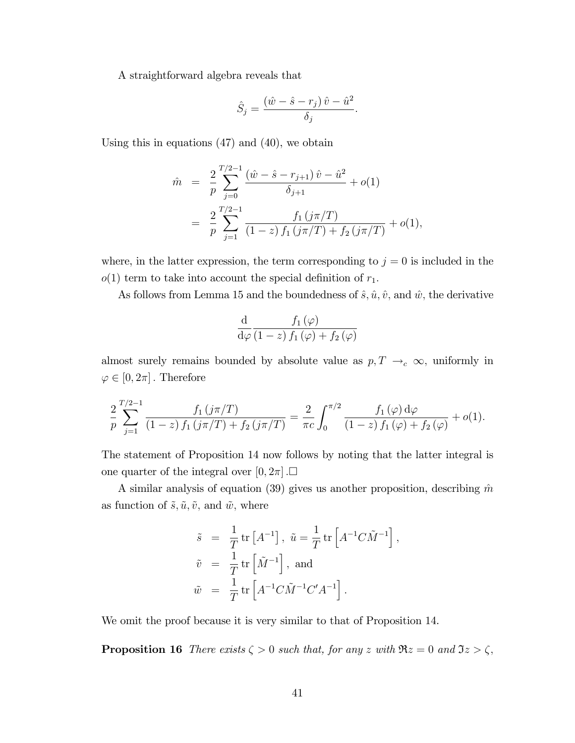A straightforward algebra reveals that

$$
\hat{S}_j = \frac{(\hat{w} - \hat{s} - r_j) \hat{v} - \hat{u}^2}{\delta_j}.
$$

Using this in equations  $(47)$  and  $(40)$ , we obtain

$$
\hat{m} = \frac{2}{p} \sum_{j=0}^{T/2-1} \frac{(\hat{w} - \hat{s} - r_{j+1}) \hat{v} - \hat{u}^2}{\delta_{j+1}} + o(1)
$$

$$
= \frac{2}{p} \sum_{j=1}^{T/2-1} \frac{f_1(j\pi/T)}{(1-z) f_1(j\pi/T) + f_2(j\pi/T)} + o(1),
$$

where, in the latter expression, the term corresponding to  $j = 0$  is included in the  $o(1)$  term to take into account the special definition of  $r_1$ .

As follows from Lemma 15 and the boundedness of  $\hat{s}$ ,  $\hat{u}$ ,  $\hat{v}$ , and  $\hat{w}$ , the derivative

$$
\frac{\mathrm{d}}{\mathrm{d}\varphi}\frac{f_1(\varphi)}{(1-z)\,f_1(\varphi)+f_2(\varphi)}
$$

almost surely remains bounded by absolute value as  $p, T \rightarrow_c \infty$ , uniformly in  $\varphi \in [0, 2\pi]$ . Therefore

$$
\frac{2}{p}\sum_{j=1}^{T/2-1}\frac{f_1(j\pi/T)}{(1-z)f_1(j\pi/T)+f_2(j\pi/T)}=\frac{2}{\pi c}\int_0^{\pi/2}\frac{f_1(\varphi)\,d\varphi}{(1-z)f_1(\varphi)+f_2(\varphi)}+o(1).
$$

The statement of Proposition 14 now follows by noting that the latter integral is one quarter of the integral over  $[0, 2\pi]$ .

A similar analysis of equation (39) gives us another proposition, describing  $\hat{m}$ as function of  $\tilde{s}, \tilde{u}, \tilde{v}$ , and  $\tilde{w}$ , where

$$
\tilde{s} = \frac{1}{T} \text{tr} [A^{-1}], \tilde{u} = \frac{1}{T} \text{tr} [A^{-1} C \tilde{M}^{-1}],
$$
  

$$
\tilde{v} = \frac{1}{T} \text{tr} [\tilde{M}^{-1}], \text{ and}
$$
  

$$
\tilde{w} = \frac{1}{T} \text{tr} [A^{-1} C \tilde{M}^{-1} C' A^{-1}].
$$

We omit the proof because it is very similar to that of Proposition 14.

**Proposition 16** There exists  $\zeta > 0$  such that, for any z with  $\Re z = 0$  and  $\Im z > \zeta$ ,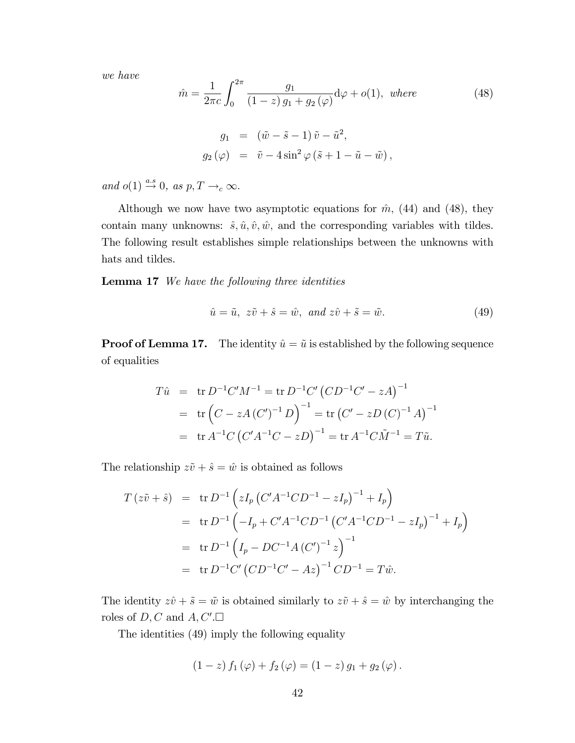we have

$$
\hat{m} = \frac{1}{2\pi c} \int_0^{2\pi} \frac{g_1}{(1-z) g_1 + g_2(\varphi)} d\varphi + o(1), \text{ where}
$$
\n(48)

$$
g_1 = (\tilde{w} - \tilde{s} - 1) \tilde{v} - \tilde{u}^2,
$$
  

$$
g_2(\varphi) = \tilde{v} - 4 \sin^2 \varphi (\tilde{s} + 1 - \tilde{u} - \tilde{w}),
$$

and  $o(1) \stackrel{a.s}{\rightarrow} 0$ , as  $p, T \rightarrow_c \infty$ .

Although we now have two asymptotic equations for  $\hat{m}$ , (44) and (48), they contain many unknowns:  $\hat{s}, \hat{u}, \hat{v}, \hat{w}$ , and the corresponding variables with tildes. The following result establishes simple relationships between the unknowns with hats and tildes.

Lemma 17 We have the following three identities

$$
\hat{u} = \tilde{u}, \ z\tilde{v} + \hat{s} = \hat{w}, \ and \ z\hat{v} + \tilde{s} = \tilde{w}.
$$
\n
$$
(49)
$$

**Proof of Lemma 17.** The identity  $\hat{u} = \tilde{u}$  is established by the following sequence of equalities

$$
T\hat{u} = \text{tr } D^{-1}C'M^{-1} = \text{tr } D^{-1}C' (CD^{-1}C' - zA)^{-1}
$$
  
=  $\text{tr} (C - zA (C')^{-1} D)^{-1} = \text{tr} (C' - zD (C)^{-1} A)^{-1}$   
=  $\text{tr } A^{-1}C (C'A^{-1}C - zD)^{-1} = \text{tr } A^{-1}C\tilde{M}^{-1} = T\tilde{u}.$ 

The relationship  $z\tilde{v} + \hat{s} = \hat{w}$  is obtained as follows

$$
T(z\tilde{v} + \hat{s}) = \text{tr } D^{-1} \left( zI_p \left( C'A^{-1}CD^{-1} - zI_p \right)^{-1} + I_p \right)
$$
  
=  $\text{tr } D^{-1} \left( -I_p + C'A^{-1}CD^{-1} \left( C'A^{-1}CD^{-1} - zI_p \right)^{-1} + I_p \right)$   
=  $\text{tr } D^{-1} \left( I_p - DC^{-1}A \left( C' \right)^{-1} z \right)^{-1}$   
=  $\text{tr } D^{-1}C' \left( CD^{-1}C' - Az \right)^{-1}CD^{-1} = T\hat{w}.$ 

The identity  $z\hat{v} + \tilde{s} = \tilde{w}$  is obtained similarly to  $z\tilde{v} + \hat{s} = \hat{w}$  by interchanging the roles of  $D, C$  and  $A, C'$ .

The identities (49) imply the following equality

$$
(1-z) f_1(\varphi) + f_2(\varphi) = (1-z) g_1 + g_2(\varphi).
$$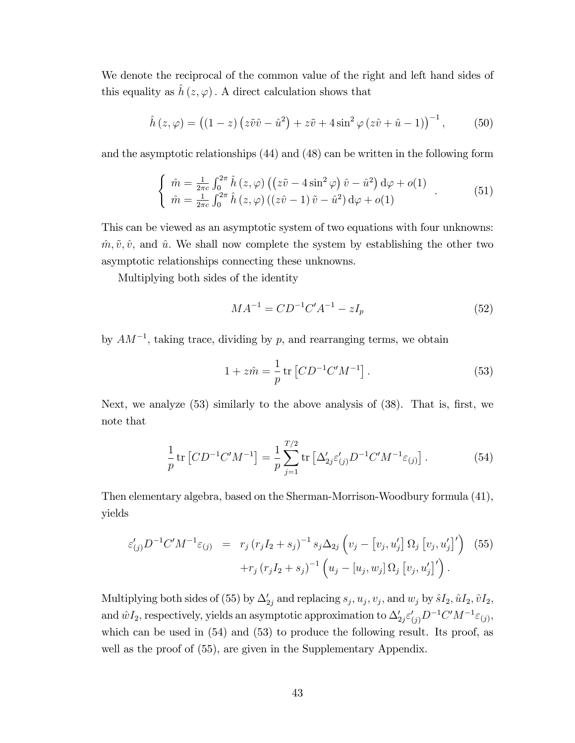We denote the reciprocal of the common value of the right and left hand sides of this equality as  $\hat{h} (z, \varphi)$ . A direct calculation shows that

$$
\hat{h}(z,\varphi) = ((1-z)(z\tilde{v}\tilde{v} - \hat{u}^2) + z\tilde{v} + 4\sin^2\varphi(z\hat{v} + \hat{u} - 1))^{-1},
$$
(50)

and the asymptotic relationships (44) and (48) can be written in the following form

$$
\begin{cases}\n\hat{m} = \frac{1}{2\pi c} \int_0^{2\pi} \hat{h}(z,\varphi) \left( \left( z\tilde{v} - 4\sin^2 \varphi \right) \hat{v} - \hat{u}^2 \right) d\varphi + o(1) \\
\hat{m} = \frac{1}{2\pi c} \int_0^{2\pi} \hat{h}(z,\varphi) \left( \left( z\hat{v} - 1 \right) \tilde{v} - \hat{u}^2 \right) d\varphi + o(1)\n\end{cases} \tag{51}
$$

This can be viewed as an asymptotic system of two equations with four unknowns:  $\hat{m}, \tilde{v}, \hat{v}$ , and  $\hat{u}$ . We shall now complete the system by establishing the other two asymptotic relationships connecting these unknowns.

Multiplying both sides of the identity

$$
MA^{-1} = CD^{-1}C'A^{-1} - zI_p \tag{52}
$$

by  $AM^{-1}$ , taking trace, dividing by p, and rearranging terms, we obtain

$$
1 + z\hat{m} = \frac{1}{p} \text{tr} \left[ CD^{-1}C'M^{-1} \right]. \tag{53}
$$

Next, we analyze  $(53)$  similarly to the above analysis of  $(38)$ . That is, first, we note that

$$
\frac{1}{p} \operatorname{tr} \left[ CD^{-1} C' M^{-1} \right] = \frac{1}{p} \sum_{j=1}^{T/2} \operatorname{tr} \left[ \Delta'_{2j} \varepsilon'_{(j)} D^{-1} C' M^{-1} \varepsilon_{(j)} \right]. \tag{54}
$$

Then elementary algebra, based on the Sherman-Morrison-Woodbury formula (41), yields

$$
\varepsilon'_{(j)} D^{-1} C' M^{-1} \varepsilon_{(j)} = r_j (r_j I_2 + s_j)^{-1} s_j \Delta_{2j} \left( v_j - [v_j, u'_j] \Omega_j [v_j, u'_j]'\right) (55) + r_j (r_j I_2 + s_j)^{-1} \left( u_j - [u_j, w_j] \Omega_j [v_j, u'_j]'\right).
$$

Multiplying both sides of (55) by  $\Delta'_{2j}$  and replacing  $s_j, u_j, v_j$ , and  $w_j$  by  $\hat{s}I_2$ ,  $\hat{u}I_2$ ,  $\hat{v}I_2$ , and  $\hat{w}I_2$ , respectively, yields an asymptotic approximation to  $\Delta'_{2j} \varepsilon'_{(j)}D^{-1}C'M^{-1}\varepsilon_{(j)}$ , which can be used in (54) and (53) to produce the following result. Its proof, as well as the proof of (55), are given in the Supplementary Appendix.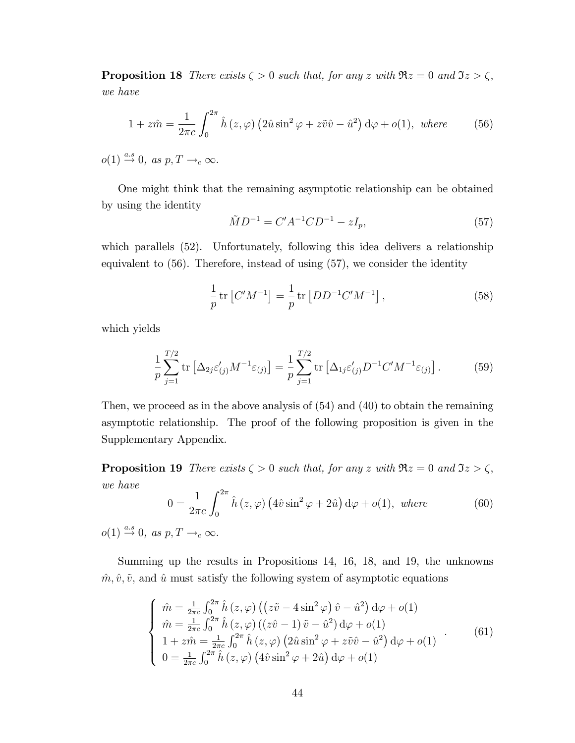**Proposition 18** There exists  $\zeta > 0$  such that, for any z with  $\Re z = 0$  and  $\Im z > \zeta$ , we have

$$
1 + z\hat{m} = \frac{1}{2\pi c} \int_0^{2\pi} \hat{h}(z,\varphi) \left(2\hat{u}\sin^2\varphi + z\tilde{v}\hat{v} - \hat{u}^2\right) d\varphi + o(1), \text{ where } (56)
$$

 $o(1) \stackrel{a.s}{\rightarrow} 0$ , as  $p, T \rightarrow_c \infty$ .

One might think that the remaining asymptotic relationship can be obtained by using the identity

$$
\tilde{M}D^{-1} = C' A^{-1} C D^{-1} - z I_p,\tag{57}
$$

which parallels  $(52)$ . Unfortunately, following this idea delivers a relationship equivalent to (56). Therefore, instead of using (57), we consider the identity

$$
\frac{1}{p}\operatorname{tr}\left[C'M^{-1}\right] = \frac{1}{p}\operatorname{tr}\left[DD^{-1}C'M^{-1}\right],\tag{58}
$$

which yields

$$
\frac{1}{p} \sum_{j=1}^{T/2} \text{tr} \left[ \Delta_{2j} \varepsilon'_{(j)} M^{-1} \varepsilon_{(j)} \right] = \frac{1}{p} \sum_{j=1}^{T/2} \text{tr} \left[ \Delta_{1j} \varepsilon'_{(j)} D^{-1} C' M^{-1} \varepsilon_{(j)} \right]. \tag{59}
$$

Then, we proceed as in the above analysis of (54) and (40) to obtain the remaining asymptotic relationship. The proof of the following proposition is given in the Supplementary Appendix.

**Proposition 19** There exists  $\zeta > 0$  such that, for any z with  $\Re z = 0$  and  $\Im z > \zeta$ , we have

$$
0 = \frac{1}{2\pi c} \int_0^{2\pi} \hat{h}(z,\varphi) \left(4\hat{v}\sin^2\varphi + 2\hat{u}\right) d\varphi + o(1), \text{ where } (60)
$$

 $o(1) \stackrel{a.s}{\rightarrow} 0$ , as  $p, T \rightarrow_c \infty$ .

Summing up the results in Propositions 14, 16, 18, and 19, the unknowns  $\hat{m}, \hat{v}, \tilde{v}$ , and  $\hat{u}$  must satisfy the following system of asymptotic equations

$$
\begin{cases}\n\hat{m} = \frac{1}{2\pi c} \int_0^{2\pi} \hat{h}(z,\varphi) \left( \left( z\tilde{v} - 4\sin^2 \varphi \right) \hat{v} - \hat{u}^2 \right) d\varphi + o(1) \\
\hat{m} = \frac{1}{2\pi c} \int_0^{2\pi} \hat{h}(z,\varphi) \left( \left( z\hat{v} - 1 \right) \tilde{v} - \hat{u}^2 \right) d\varphi + o(1) \\
1 + z\hat{m} = \frac{1}{2\pi c} \int_0^{2\pi} \hat{h}(z,\varphi) \left( 2\hat{u}\sin^2 \varphi + z\tilde{v}\hat{v} - \hat{u}^2 \right) d\varphi + o(1) \\
0 = \frac{1}{2\pi c} \int_0^{2\pi} \hat{h}(z,\varphi) \left( 4\hat{v}\sin^2 \varphi + 2\hat{u} \right) d\varphi + o(1)\n\end{cases} (61)
$$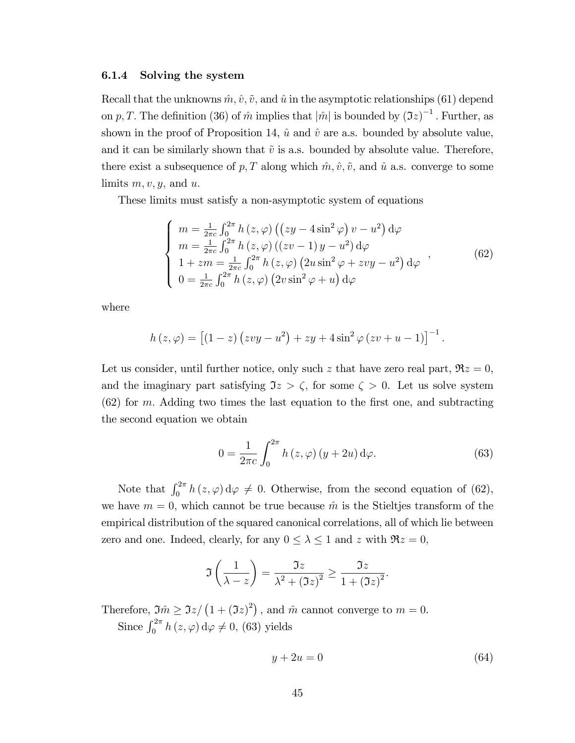#### 6.1.4 Solving the system

Recall that the unknowns  $\hat{m}, \hat{v}, \tilde{v}$ , and  $\hat{u}$  in the asymptotic relationships (61) depend on p, T. The definition (36) of  $\hat{m}$  implies that  $|\hat{m}|$  is bounded by  $(\Im z)^{-1}$ . Further, as shown in the proof of Proposition 14,  $\hat{u}$  and  $\hat{v}$  are a.s. bounded by absolute value, and it can be similarly shown that  $\tilde{v}$  is a.s. bounded by absolute value. Therefore, there exist a subsequence of p, T along which  $\hat{m}, \hat{v}, \tilde{v}$ , and  $\hat{u}$  a.s. converge to some limits  $m, v, y$ , and  $u$ .

These limits must satisfy a non-asymptotic system of equations

$$
\begin{cases}\n m = \frac{1}{2\pi c} \int_0^{2\pi} h(z, \varphi) \left( (zy - 4\sin^2 \varphi) v - u^2 \right) d\varphi \\
 m = \frac{1}{2\pi c} \int_0^{2\pi} h(z, \varphi) \left( (zv - 1) y - u^2 \right) d\varphi \\
 1 + zm = \frac{1}{2\pi c} \int_0^{2\pi} h(z, \varphi) \left( 2u \sin^2 \varphi + zvy - u^2 \right) d\varphi \\
 0 = \frac{1}{2\pi c} \int_0^{2\pi} h(z, \varphi) \left( 2v \sin^2 \varphi + u \right) d\varphi\n\end{cases}
$$
\n(62)

where

$$
h(z, \varphi) = [(1-z) (zvy - u^{2}) + zy + 4\sin^{2}\varphi (zv + u - 1)]^{-1}.
$$

Let us consider, until further notice, only such z that have zero real part,  $\Re z = 0$ , and the imaginary part satisfying  $\mathfrak{I}z > \zeta$ , for some  $\zeta > 0$ . Let us solve system  $(62)$  for m. Adding two times the last equation to the first one, and subtracting the second equation we obtain

$$
0 = \frac{1}{2\pi c} \int_0^{2\pi} h(z, \varphi) (y + 2u) d\varphi.
$$
 (63)

Note that  $\int_0^{2\pi} h(z,\varphi) d\varphi \neq 0$ . Otherwise, from the second equation of (62), we have  $m = 0$ , which cannot be true because  $\hat{m}$  is the Stieltjes transform of the empirical distribution of the squared canonical correlations, all of which lie between zero and one. Indeed, clearly, for any  $0\leq \lambda \leq 1$  and  $z$  with  $\Re z=0,$ 

$$
\Im\left(\frac{1}{\lambda-z}\right)=\frac{\Im z}{\lambda^2+\left(\Im z\right)^2}\geq \frac{\Im z}{1+\left(\Im z\right)^2}.
$$

Therefore,  $\Im \hat{m} \geq \Im z / (1 + (\Im z)^2)$ , and  $\hat{m}$  cannot converge to  $m = 0$ . Since  $\int_0^{2\pi} h(z, \varphi) d\varphi \neq 0$ , (63) yields

$$
y + 2u = 0 \tag{64}
$$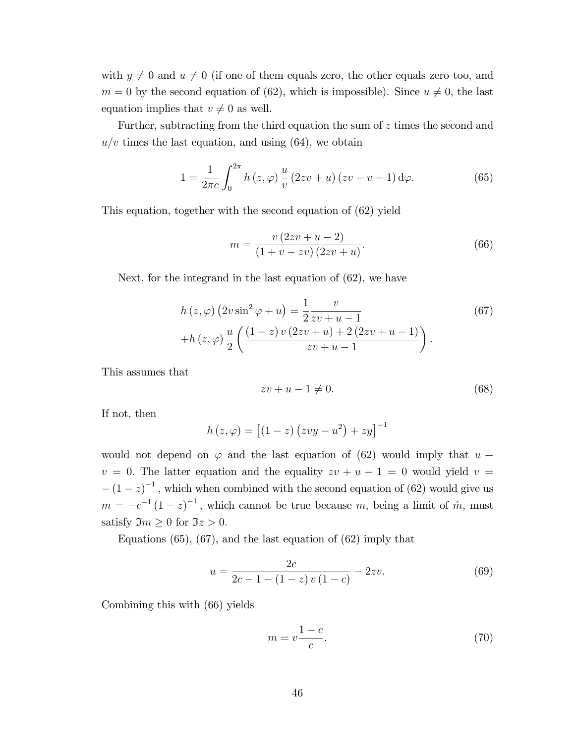with  $y \neq 0$  and  $u \neq 0$  (if one of them equals zero, the other equals zero too, and  $m = 0$  by the second equation of (62), which is impossible). Since  $u \neq 0$ , the last equation implies that  $v \neq 0$  as well.

Further, subtracting from the third equation the sum of z times the second and  $u/v$  times the last equation, and using (64), we obtain

$$
1 = \frac{1}{2\pi c} \int_0^{2\pi} h(z, \varphi) \frac{u}{v} (2zv + u) (zv - v - 1) d\varphi.
$$
 (65)

This equation, together with the second equation of (62) yield

$$
m = \frac{v(2zv + u - 2)}{(1 + v - zv)(2zv + u)}.
$$
\n(66)

Next, for the integrand in the last equation of (62), we have

$$
h(z, \varphi) (2v \sin^2 \varphi + u) = \frac{1}{2} \frac{v}{zv + u - 1}
$$
  
+
$$
h(z, \varphi) \frac{u}{2} \left( \frac{(1 - z) v (2zv + u) + 2 (2zv + u - 1)}{zv + u - 1} \right).
$$
 (67)

This assumes that

$$
zv + u - 1 \neq 0. \tag{68}
$$

If not, then

$$
h(z, \varphi) = \left[ (1-z) (zvy - u^2) + zy \right]^{-1}
$$

would not depend on  $\varphi$  and the last equation of (62) would imply that  $u +$  $v = 0$ . The latter equation and the equality  $zv + u - 1 = 0$  would yield  $v =$  $-(1-z)^{-1}$ , which when combined with the second equation of (62) would give us  $m = -c^{-1}(1-z)^{-1}$ , which cannot be true because m, being a limit of  $\hat{m}$ , must satisfy  $\mathfrak{I}m \geq 0$  for  $\mathfrak{I}z > 0$ .

Equations  $(65)$ ,  $(67)$ , and the last equation of  $(62)$  imply that

$$
u = \frac{2c}{2c - 1 - (1 - z)v(1 - c)} - 2zv.
$$
 (69)

Combining this with (66) yields

$$
m = v \frac{1 - c}{c}.\tag{70}
$$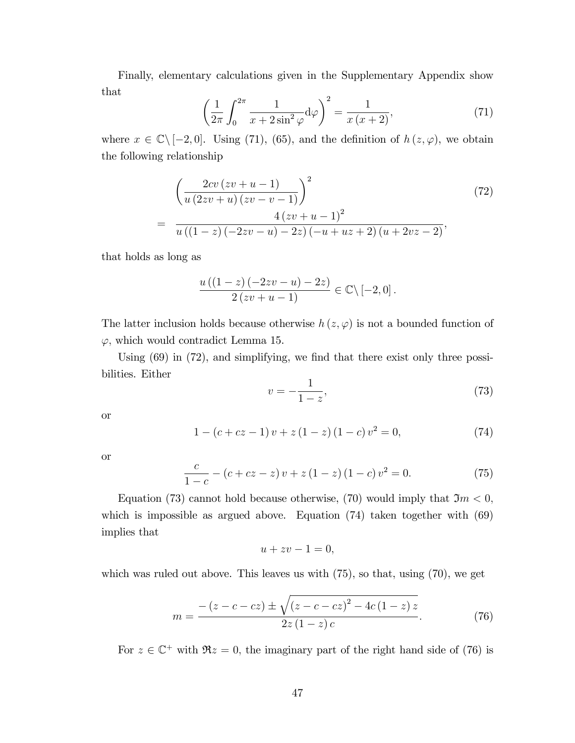Finally, elementary calculations given in the Supplementary Appendix show that

$$
\left(\frac{1}{2\pi} \int_0^{2\pi} \frac{1}{x + 2\sin^2 \varphi} d\varphi\right)^2 = \frac{1}{x(x+2)},
$$
\n(71)

where  $x \in \mathbb{C} \setminus [-2, 0]$ . Using (71), (65), and the definition of  $h(z, \varphi)$ , we obtain the following relationship

$$
\left(\frac{2cv\left(zv+u-1\right)}{u\left(2zv+u\right)\left(zv-v-1\right)}\right)^{2}\n= \frac{4\left(zv+u-1\right)^{2}}{u\left(\left(1-z\right)\left(-2zv-u\right)-2z\right)\left(-u+uz+2\right)\left(u+2vz-2\right)},
$$
\n(72)

that holds as long as

$$
\frac{u((1-z)(-2zv-u)-2z)}{2(zv+u-1)} \in \mathbb{C} \setminus [-2,0].
$$

The latter inclusion holds because otherwise  $h(z, \varphi)$  is not a bounded function of  $\varphi$ , which would contradict Lemma 15.

Using  $(69)$  in  $(72)$ , and simplifying, we find that there exist only three possibilities. Either

$$
v = -\frac{1}{1-z},\tag{73}
$$

or

$$
1 - (c + cz - 1)v + z(1 - z)(1 - c)v^{2} = 0,
$$
\n(74)

or

$$
\frac{c}{1-c} - (c + cz - z)v + z(1 - z)(1 - c)v^{2} = 0.
$$
 (75)

Equation (73) cannot hold because otherwise, (70) would imply that  $\Im m < 0$ , which is impossible as argued above. Equation (74) taken together with (69) implies that

$$
u + zv - 1 = 0,
$$

which was ruled out above. This leaves us with  $(75)$ , so that, using  $(70)$ , we get

$$
m = \frac{- (z - c - cz) \pm \sqrt{(z - c - cz)^2 - 4c(1 - z)z}}{2z(1 - z)c}.
$$
 (76)

For  $z \in \mathbb{C}^+$  with  $\Re z = 0$ , the imaginary part of the right hand side of (76) is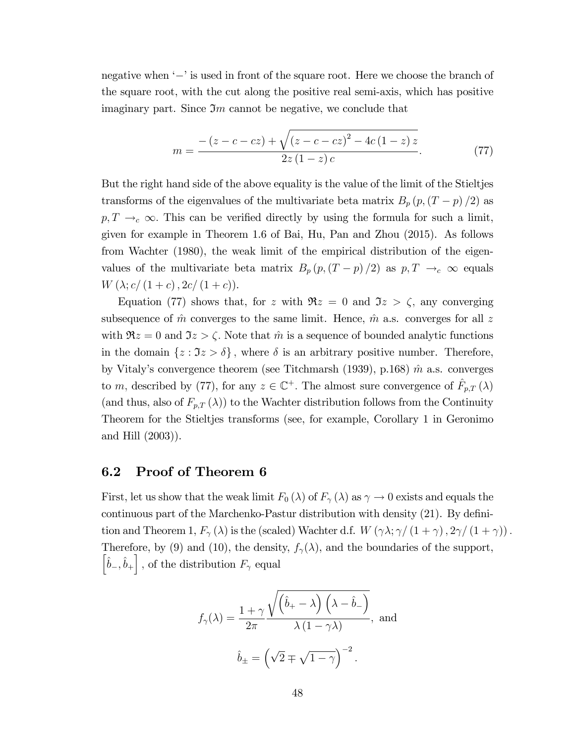negative when  $\left\langle -\right\rangle$  is used in front of the square root. Here we choose the branch of the square root, with the cut along the positive real semi-axis, which has positive imaginary part. Since  $\mathfrak{I}m$  cannot be negative, we conclude that

$$
m = \frac{- (z - c - cz) + \sqrt{(z - c - cz)^2 - 4c(1 - z)z}}{2z(1 - z)c}.
$$
 (77)

But the right hand side of the above equality is the value of the limit of the Stieltjes transforms of the eigenvalues of the multivariate beta matrix  $B_p (p,(T-p)/2)$  as  $p, T \rightarrow_c \infty$ . This can be verified directly by using the formula for such a limit, given for example in Theorem 1.6 of Bai, Hu, Pan and Zhou (2015). As follows from Wachter (1980), the weak limit of the empirical distribution of the eigenvalues of the multivariate beta matrix  $B_p(p,(T-p)/2)$  as  $p,T \to_c \infty$  equals  $W(\lambda; c/(1 + c), 2c/(1 + c)).$ 

Equation (77) shows that, for z with  $\Re z = 0$  and  $\Im z > \zeta$ , any converging subsequence of  $\hat{m}$  converges to the same limit. Hence,  $\hat{m}$  a.s. converges for all z with  $\Re z = 0$  and  $\Im z > \zeta$ . Note that  $\hat{m}$  is a sequence of bounded analytic functions in the domain  $\{z : \Im z > \delta\}$ , where  $\delta$  is an arbitrary positive number. Therefore, by Vitaly's convergence theorem (see Titchmarsh (1939), p.168)  $\hat{m}$  a.s. converges to m, described by (77), for any  $z \in \mathbb{C}^+$ . The almost sure convergence of  $\hat{F}_{p,T} (\lambda)$ (and thus, also of  $F_{p,T}(\lambda)$ ) to the Wachter distribution follows from the Continuity Theorem for the Stieltjes transforms (see, for example, Corollary 1 in Geronimo and Hill (2003)).

## 6.2 Proof of Theorem 6

First, let us show that the weak limit  $F_0(\lambda)$  of  $F_\gamma(\lambda)$  as  $\gamma \to 0$  exists and equals the continuous part of the Marchenko-Pastur distribution with density  $(21)$ . By definition and Theorem 1,  $F_{\gamma}(\lambda)$  is the (scaled) Wachter d.f.  $W(\gamma\lambda;\gamma/(1+\gamma),2\gamma/(1+\gamma))$ . Therefore, by (9) and (10), the density,  $f_{\gamma}(\lambda)$ , and the boundaries of the support,  $\left[\hat{b}_-,\hat{b}_+\right]$ , of the distribution  $F_\gamma$  equal

$$
f_{\gamma}(\lambda) = \frac{1 + \gamma}{2\pi} \frac{\sqrt{(\hat{b}_{+} - \lambda) (\lambda - \hat{b}_{-})}}{\lambda (1 - \gamma \lambda)}, \text{ and}
$$

$$
\hat{b}_{\pm} = (\sqrt{2} \mp \sqrt{1 - \gamma})^{-2}.
$$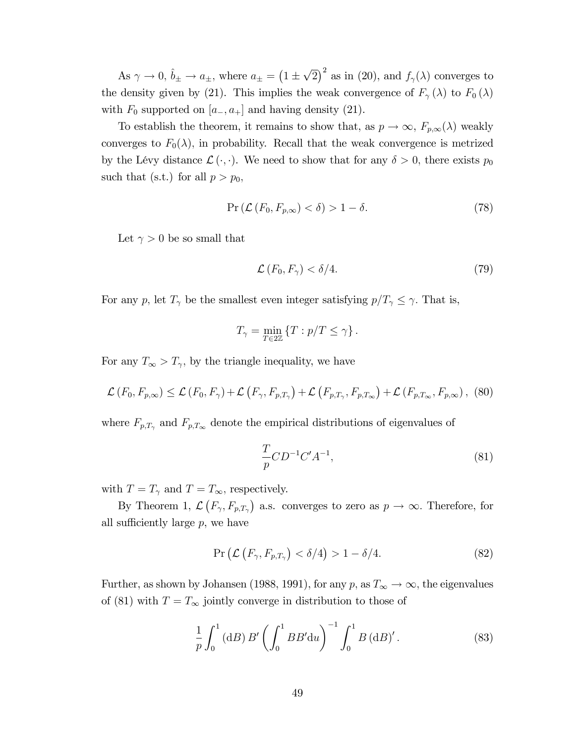As  $\gamma \to 0$ ,  $\hat{b}_{\pm} \to a_{\pm}$ , where  $a_{\pm} = (1 \pm \sqrt{2})^2$  as in (20), and  $f_{\gamma}(\lambda)$  converges to the density given by (21). This implies the weak convergence of  $F_{\gamma}(\lambda)$  to  $F_0(\lambda)$ with  $F_0$  supported on  $[a_-, a_+]$  and having density (21).

To establish the theorem, it remains to show that, as  $p \to \infty$ ,  $F_{p,\infty}(\lambda)$  weakly converges to  $F_0(\lambda)$ , in probability. Recall that the weak convergence is metrized by the Lévy distance  $\mathcal{L}(\cdot, \cdot)$ . We need to show that for any  $\delta > 0$ , there exists  $p_0$ such that (s.t.) for all  $p > p_0$ ,

$$
\Pr\left(\mathcal{L}\left(F_0, F_{p,\infty}\right) < \delta\right) > 1 - \delta. \tag{78}
$$

Let  $\gamma > 0$  be so small that

$$
\mathcal{L}\left(F_{0}, F_{\gamma}\right) < \delta/4. \tag{79}
$$

For any p, let  $T_{\gamma}$  be the smallest even integer satisfying  $p/T_{\gamma} \leq \gamma$ . That is,

$$
T_{\gamma} = \min_{T \in 2\mathbb{Z}} \left\{ T : p/T \leq \gamma \right\}.
$$

For any  $T_{\infty} > T_{\gamma}$ , by the triangle inequality, we have

$$
\mathcal{L}(F_0, F_{p,\infty}) \le \mathcal{L}(F_0, F_{\gamma}) + \mathcal{L}(F_{\gamma}, F_{p,T_{\gamma}}) + \mathcal{L}(F_{p,T_{\gamma}}, F_{p,T_{\infty}}) + \mathcal{L}(F_{p,T_{\infty}}, F_{p,\infty}), (80)
$$

where  $F_{p,T_{\gamma}}$  and  $F_{p,T_{\infty}}$  denote the empirical distributions of eigenvalues of

$$
\frac{T}{p}CD^{-1}C'A^{-1},
$$
\n(81)

with  $T = T_{\gamma}$  and  $T = T_{\infty}$ , respectively.

By Theorem 1,  $\mathcal{L}(F_\gamma, F_{p,T_\gamma})$  a.s. converges to zero as  $p \to \infty$ . Therefore, for all sufficiently large  $p$ , we have

$$
\Pr\left(\mathcal{L}\left(F_{\gamma}, F_{p, T_{\gamma}}\right) < \delta/4\right) > 1 - \delta/4. \tag{82}
$$

Further, as shown by Johansen (1988, 1991), for any p, as  $T_{\infty} \to \infty$ , the eigenvalues of (81) with  $T = T_{\infty}$  jointly converge in distribution to those of

$$
\frac{1}{p} \int_0^1 (dB) B' \left( \int_0^1 BB' du \right)^{-1} \int_0^1 B (dB)'.
$$
 (83)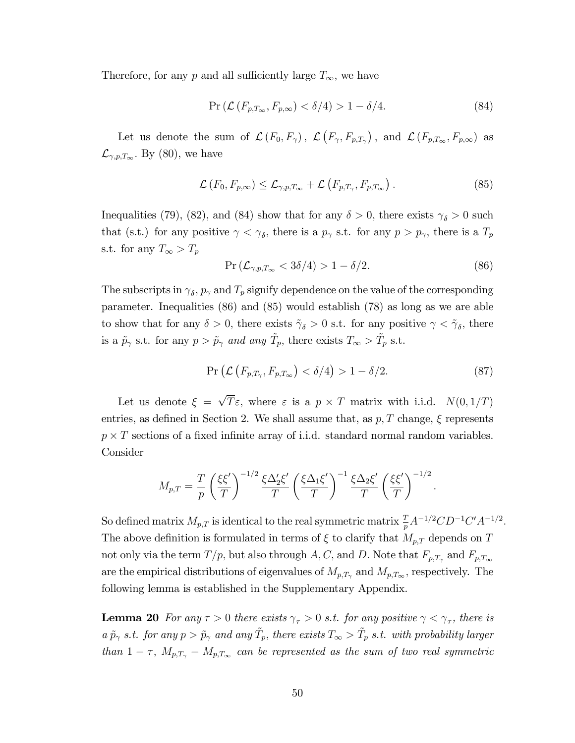Therefore, for any p and all sufficiently large  $T_{\infty}$ , we have

$$
\Pr\left(\mathcal{L}\left(F_{p,T_{\infty}}, F_{p,\infty}\right) < \delta/4\right) > 1 - \delta/4. \tag{84}
$$

Let us denote the sum of  $\mathcal{L}(F_0, F_\gamma)$ ,  $\mathcal{L}(F_\gamma, F_{p,T_\gamma})$ , and  $\mathcal{L}(F_{p,T_\infty}, F_{p,\infty})$  as  $\mathcal{L}_{\gamma,p,T_\infty}$ . By (80), we have

$$
\mathcal{L}\left(F_{0}, F_{p,\infty}\right) \leq \mathcal{L}_{\gamma, p, T_{\infty}} + \mathcal{L}\left(F_{p, T_{\gamma}}, F_{p, T_{\infty}}\right). \tag{85}
$$

Inequalities (79), (82), and (84) show that for any  $\delta > 0$ , there exists  $\gamma_{\delta} > 0$  such that (s.t.) for any positive  $\gamma < \gamma_{\delta}$ , there is a  $p_{\gamma}$  s.t. for any  $p > p_{\gamma}$ , there is a  $T_p$ s.t. for any  $T_{\infty} > T_p$ 

$$
\Pr\left(\mathcal{L}_{\gamma,p,T_{\infty}} < 3\delta/4\right) > 1 - \delta/2. \tag{86}
$$

The subscripts in  $\gamma_{\delta}$ ,  $p_{\gamma}$  and  $T_p$  signify dependence on the value of the corresponding parameter. Inequalities (86) and (85) would establish (78) as long as we are able to show that for any  $\delta > 0$ , there exists  $\tilde{\gamma}_{\delta} > 0$  s.t. for any positive  $\gamma < \tilde{\gamma}_{\delta}$ , there is a  $\tilde{p}_{\gamma}$  s.t. for any  $p > \tilde{p}_{\gamma}$  and any  $\tilde{T}_p$ , there exists  $T_{\infty} > \tilde{T}_p$  s.t.

$$
\Pr\left(\mathcal{L}\left(F_{p,T_{\gamma}}, F_{p,T_{\infty}}\right) < \delta/4\right) > 1 - \delta/2. \tag{87}
$$

Let us denote  $\xi = \sqrt{T} \varepsilon$ , where  $\varepsilon$  is a  $p \times T$  matrix with i.i.d.  $N(0, 1/T)$ entries, as defined in Section 2. We shall assume that, as  $p, T$  change,  $\xi$  represents  $p \times T$  sections of a fixed infinite array of i.i.d. standard normal random variables. Consider

$$
M_{p,T} = \frac{T}{p} \left(\frac{\xi \xi'}{T}\right)^{-1/2} \frac{\xi \Delta_2' \xi'}{T} \left(\frac{\xi \Delta_1 \xi'}{T}\right)^{-1} \frac{\xi \Delta_2 \xi'}{T} \left(\frac{\xi \xi'}{T}\right)^{-1/2}.
$$

So defined matrix  $M_{p,T}$  is identical to the real symmetric matrix  $\frac{T}{p}A^{-1/2}CD^{-1}C'A^{-1/2}$ . The above definition is formulated in terms of  $\xi$  to clarify that  $M_{p,T}$  depends on T not only via the term  $T/p$ , but also through A, C, and D. Note that  $F_{p,T_{\gamma}}$  and  $F_{p,T_{\infty}}$ are the empirical distributions of eigenvalues of  $M_{p,T_{\gamma}}$  and  $M_{p,T_{\infty}}$ , respectively. The following lemma is established in the Supplementary Appendix.

**Lemma 20** For any  $\tau > 0$  there exists  $\gamma_{\tau} > 0$  s.t. for any positive  $\gamma < \gamma_{\tau}$ , there is  $a\ \tilde{p}_{\gamma}\ s.t.$  for any  $p > \tilde{p}_{\gamma}$  and any  $\tilde{T}_p$ , there exists  $T_{\infty} > \tilde{T}_p\ s.t.$  with probability larger than  $1 - \tau$ ,  $M_{p,T_{\gamma}} - M_{p,T_{\infty}}$  can be represented as the sum of two real symmetric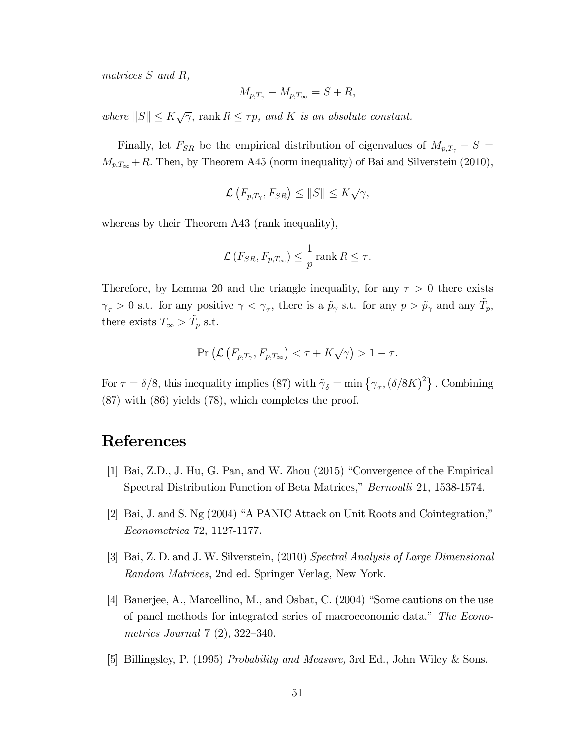matrices S and R,

$$
M_{p,T_{\gamma}} - M_{p,T_{\infty}} = S + R,
$$

where  $||S|| \leq K\sqrt{\gamma}$ , rank  $R \leq \tau p$ , and K is an absolute constant.

Finally, let  $F_{SR}$  be the empirical distribution of eigenvalues of  $M_{p,T_{\gamma}} - S =$  $M_{p,T_\infty}+R$ . Then, by Theorem A45 (norm inequality) of Bai and Silverstein (2010),

$$
\mathcal{L}\left(F_{p,T_{\gamma}},F_{SR}\right)\leq\left\Vert S\right\Vert \leq K\sqrt{\gamma},
$$

whereas by their Theorem A43 (rank inequality),

$$
\mathcal{L}(F_{SR}, F_{p,T_{\infty}}) \leq \frac{1}{p} \operatorname{rank} R \leq \tau.
$$

Therefore, by Lemma 20 and the triangle inequality, for any  $\tau > 0$  there exists  $\gamma_{\tau} > 0$  s.t. for any positive  $\gamma < \gamma_{\tau}$ , there is a  $\tilde{p}_{\gamma}$  s.t. for any  $p > \tilde{p}_{\gamma}$  and any  $\tilde{T}_p$ , there exists  $T_{\infty} > \tilde{T}_p$  s.t.

$$
\Pr\left(\mathcal{L}\left(F_{p,T_{\gamma}}, F_{p,T_{\infty}}\right) < \tau + K\sqrt{\gamma}\right) > 1 - \tau.
$$

For  $\tau = \delta/8$ , this inequality implies (87) with  $\tilde{\gamma}_{\delta} = \min \{ \gamma_{\tau}, (\delta/8K)^2 \}$ . Combining (87) with (86) yields (78), which completes the proof.

## References

- [1] Bai, Z.D., J. Hu, G. Pan, and W. Zhou  $(2015)$  "Convergence of the Empirical Spectral Distribution Function of Beta Matrices," Bernoulli 21, 1538-1574.
- [2] Bai, J. and S. Ng  $(2004)$  "A PANIC Attack on Unit Roots and Cointegration," Econometrica 72, 1127-1177.
- [3] Bai, Z. D. and J. W. Silverstein, (2010) Spectral Analysis of Large Dimensional Random Matrices, 2nd ed. Springer Verlag, New York.
- [4] Banerjee, A., Marcellino, M., and Osbat, C.  $(2004)$  "Some cautions on the use of panel methods for integrated series of macroeconomic data." The Econometrics Journal  $7(2)$ , 322-340.
- [5] Billingsley, P. (1995) Probability and Measure, 3rd Ed., John Wiley & Sons.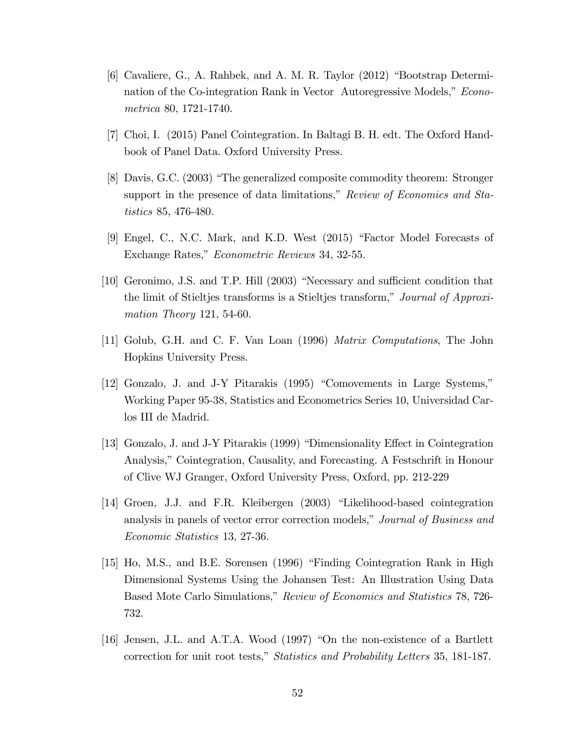- [6] Cavaliere, G., A. Rahbek, and A. M. R. Taylor  $(2012)$  "Bootstrap Determination of the Co-integration Rank in Vector Autoregressive Models," Econometrica 80, 1721-1740.
- [7] Choi, I. (2015) Panel Cointegration. In Baltagi B. H. edt. The Oxford Handbook of Panel Data. Oxford University Press.
- [8] Davis, G.C. (2003) "The generalized composite commodity theorem: Stronger support in the presence of data limitations," Review of Economics and Statistics 85, 476-480.
- [9] Engel, C., N.C. Mark, and K.D. West (2015) "Factor Model Forecasts of Exchange Rates," *Econometric Reviews* 34, 32-55.
- [10] Geronimo, J.S. and T.P. Hill (2003) "Necessary and sufficient condition that the limit of Stieltjes transforms is a Stieltjes transform," Journal of Approximation Theory 121, 54-60.
- [11] Golub, G.H. and C. F. Van Loan (1996) Matrix Computations, The John Hopkins University Press.
- $[12]$  Gonzalo, J. and J-Y Pitarakis  $(1995)$  "Comovements in Large Systems," Working Paper 95-38, Statistics and Econometrics Series 10, Universidad Carlos III de Madrid.
- [13] Gonzalo, J. and J-Y Pitarakis (1999) "Dimensionality Effect in Cointegration Analysis," Cointegration, Causality, and Forecasting. A Festschrift in Honour of Clive WJ Granger, Oxford University Press, Oxford, pp. 212-229
- [14] Groen, J.J. and F.R. Kleibergen (2003) "Likelihood-based cointegration analysis in panels of vector error correction models," Journal of Business and Economic Statistics 13, 27-36.
- [15] Ho, M.S., and B.E. Sorensen (1996) "Finding Cointegration Rank in High Dimensional Systems Using the Johansen Test: An Illustration Using Data Based Mote Carlo Simulations," Review of Economics and Statistics 78, 726-732.
- [16] Jensen, J.L. and A.T.A. Wood  $(1997)$  "On the non-existence of a Bartlett correction for unit root tests," *Statistics and Probability Letters* 35, 181-187.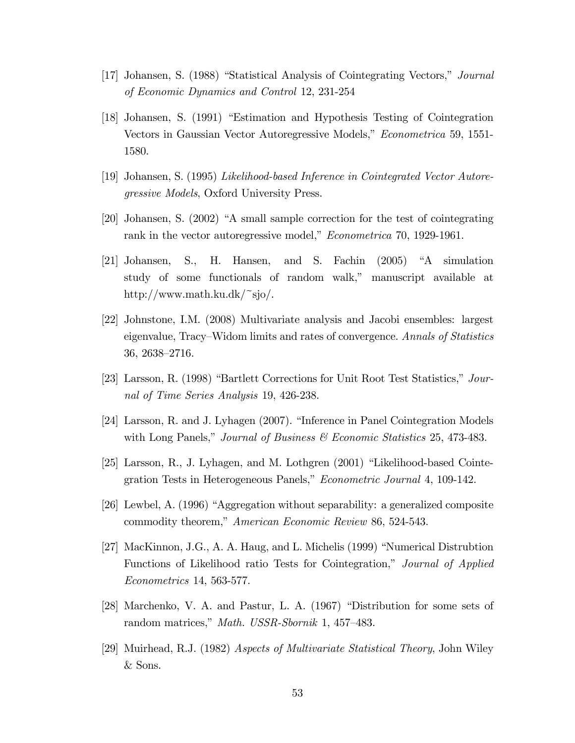- [17] Johansen, S. (1988) "Statistical Analysis of Cointegrating Vectors," *Journal* of Economic Dynamics and Control 12, 231-254
- [18] Johansen, S. (1991) "Estimation and Hypothesis Testing of Cointegration Vectors in Gaussian Vector Autoregressive Models," Econometrica 59, 1551-1580.
- [19] Johansen, S. (1995) Likelihood-based Inference in Cointegrated Vector Autoregressive Models, Oxford University Press.
- $[20]$  Johansen, S.  $(2002)$  "A small sample correction for the test of cointegrating rank in the vector autoregressive model," *Econometrica* 70, 1929-1961.
- $[21]$  Johansen, S., H. Hansen, and S. Fachin  $(2005)$  "A simulation study of some functionals of random walk," manuscript available at http://www.math.ku.dk/~sjo/.
- [22] Johnstone, I.M. (2008) Multivariate analysis and Jacobi ensembles: largest eigenvalue, Tracy–Widom limits and rates of convergence. Annals of Statistics  $36, 2638 - 2716.$
- [23] Larsson, R. (1998) "Bartlett Corrections for Unit Root Test Statistics,"  $Jour$ nal of Time Series Analysis 19, 426-238.
- $[24]$  Larsson, R. and J. Lyhagen  $(2007)$ . "Inference in Panel Cointegration Models" with Long Panels," Journal of Business  $\mathcal B$  Economic Statistics 25, 473-483.
- $[25]$  Larsson, R., J. Lyhagen, and M. Lothgren  $(2001)$  "Likelihood-based Cointegration Tests in Heterogeneous Panels," Econometric Journal 4, 109-142.
- [26] Lewbel, A.  $(1996)$  "Aggregation without separability: a generalized composite commodity theorem," American Economic Review 86, 524-543.
- [27] MacKinnon, J.G., A. A. Haug, and L. Michelis (1999) "Numerical Distrubtion Functions of Likelihood ratio Tests for Cointegration," Journal of Applied Econometrics 14, 563-577.
- [28] Marchenko, V. A. and Pastur, L. A.  $(1967)$  "Distribution for some sets of random matrices," *Math. USSR-Sbornik* 1, 457–483.
- [29] Muirhead, R.J. (1982) Aspects of Multivariate Statistical Theory, John Wiley & Sons.